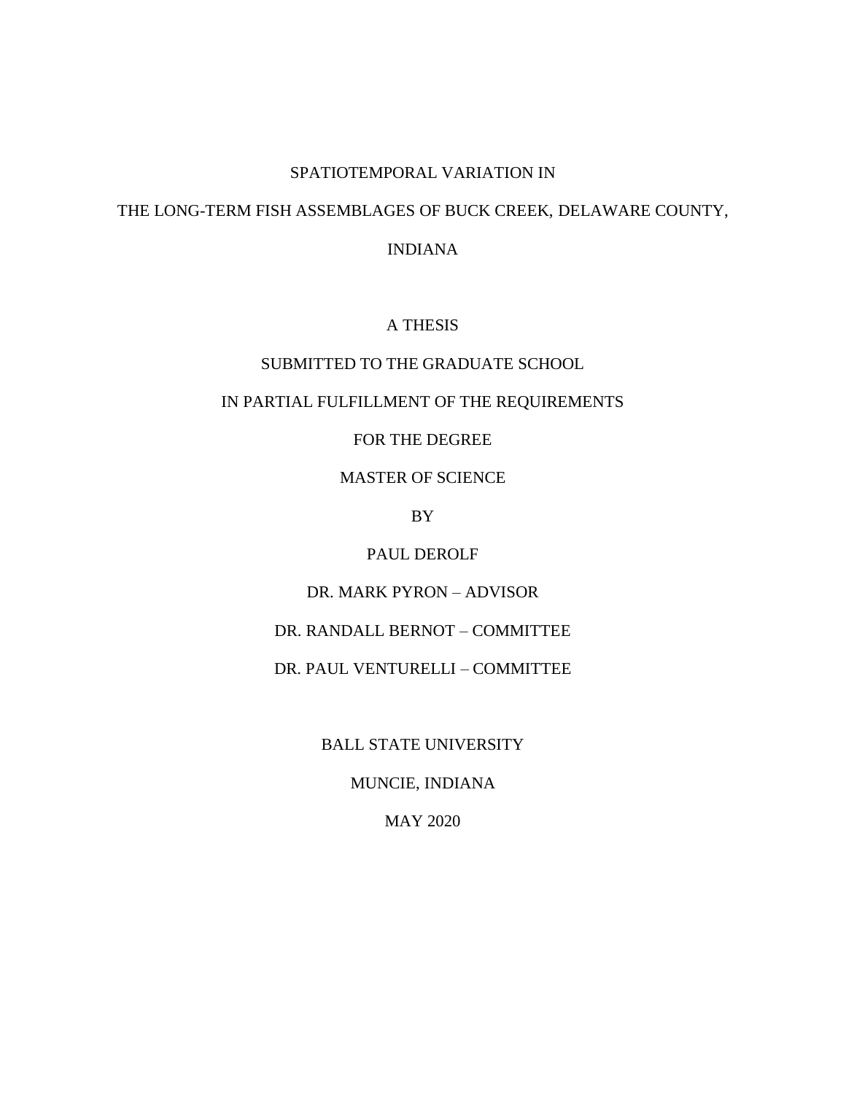#### SPATIOTEMPORAL VARIATION IN

# THE LONG-TERM FISH ASSEMBLAGES OF BUCK CREEK, DELAWARE COUNTY,

INDIANA

### A THESIS

## SUBMITTED TO THE GRADUATE SCHOOL

#### IN PARTIAL FULFILLMENT OF THE REQUIREMENTS

# FOR THE DEGREE

## MASTER OF SCIENCE

### BY

## PAUL DEROLF

# DR. MARK PYRON – ADVISOR

# DR. RANDALL BERNOT – COMMITTEE

# DR. PAUL VENTURELLI – COMMITTEE

#### BALL STATE UNIVERSITY

# MUNCIE, INDIANA

# MAY 2020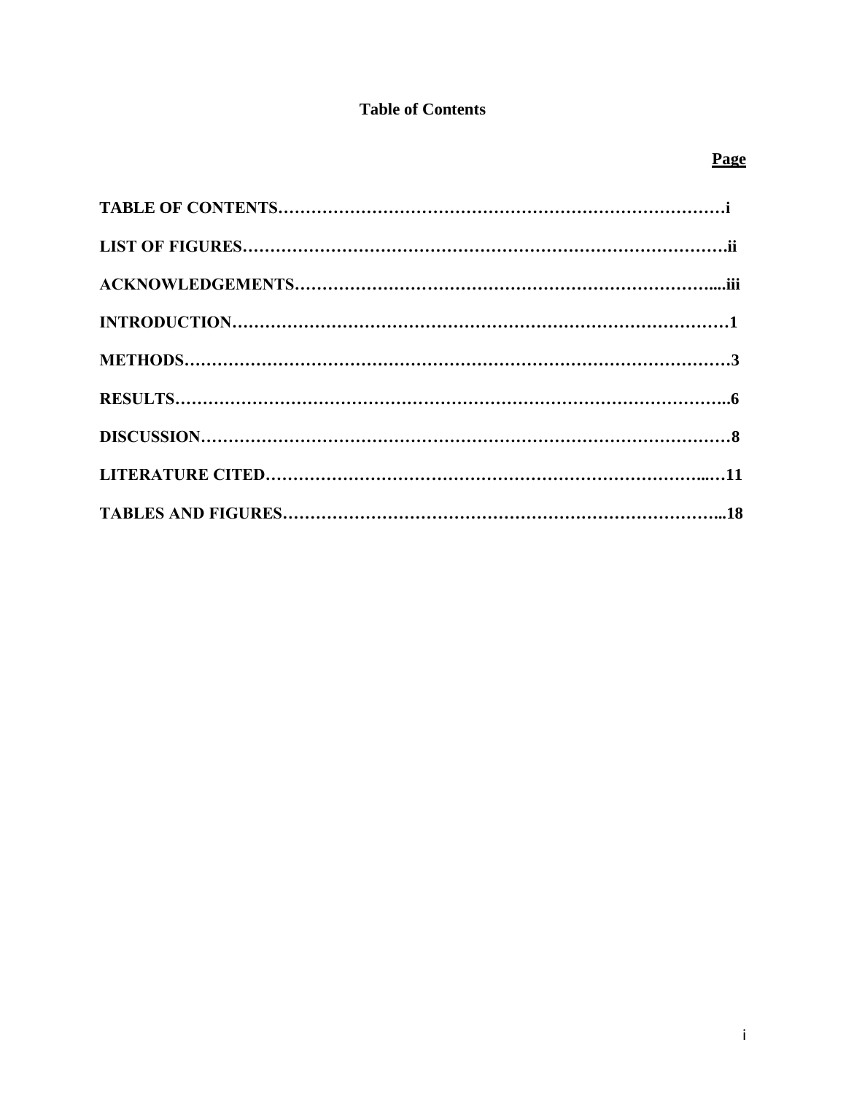# **Table of Contents**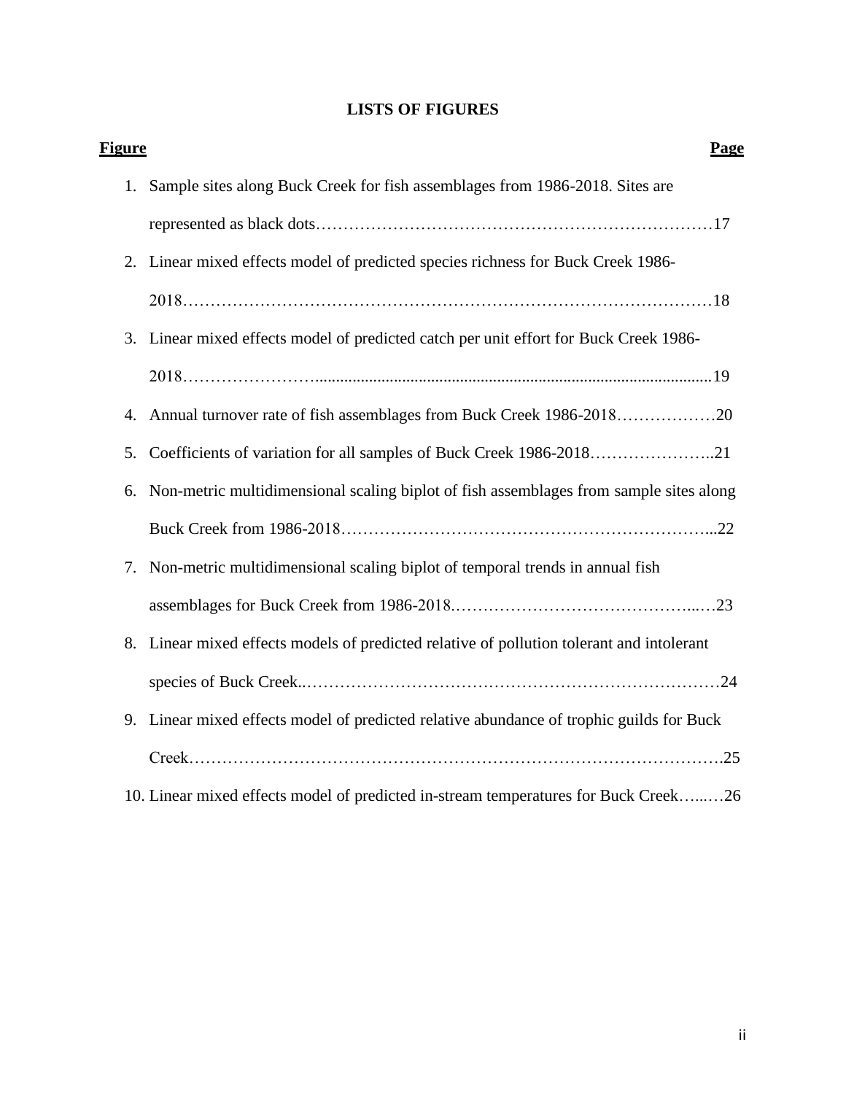# **LISTS OF FIGURES**

| <u>Figure</u> | <b>Page</b>                                                                               |
|---------------|-------------------------------------------------------------------------------------------|
|               | 1. Sample sites along Buck Creek for fish assemblages from 1986-2018. Sites are           |
|               |                                                                                           |
|               | 2. Linear mixed effects model of predicted species richness for Buck Creek 1986-          |
|               |                                                                                           |
|               | 3. Linear mixed effects model of predicted catch per unit effort for Buck Creek 1986-     |
|               |                                                                                           |
| 4.            | Annual turnover rate of fish assemblages from Buck Creek 1986-201820                      |
| 5.            | Coefficients of variation for all samples of Buck Creek 1986-201821                       |
| 6.            | Non-metric multidimensional scaling biplot of fish assemblages from sample sites along    |
|               |                                                                                           |
| 7.            | Non-metric multidimensional scaling biplot of temporal trends in annual fish              |
|               |                                                                                           |
|               | 8. Linear mixed effects models of predicted relative of pollution tolerant and intolerant |
|               |                                                                                           |
| 9.            | Linear mixed effects model of predicted relative abundance of trophic guilds for Buck     |
|               |                                                                                           |
|               | 10. Linear mixed effects model of predicted in-stream temperatures for Buck Creek26       |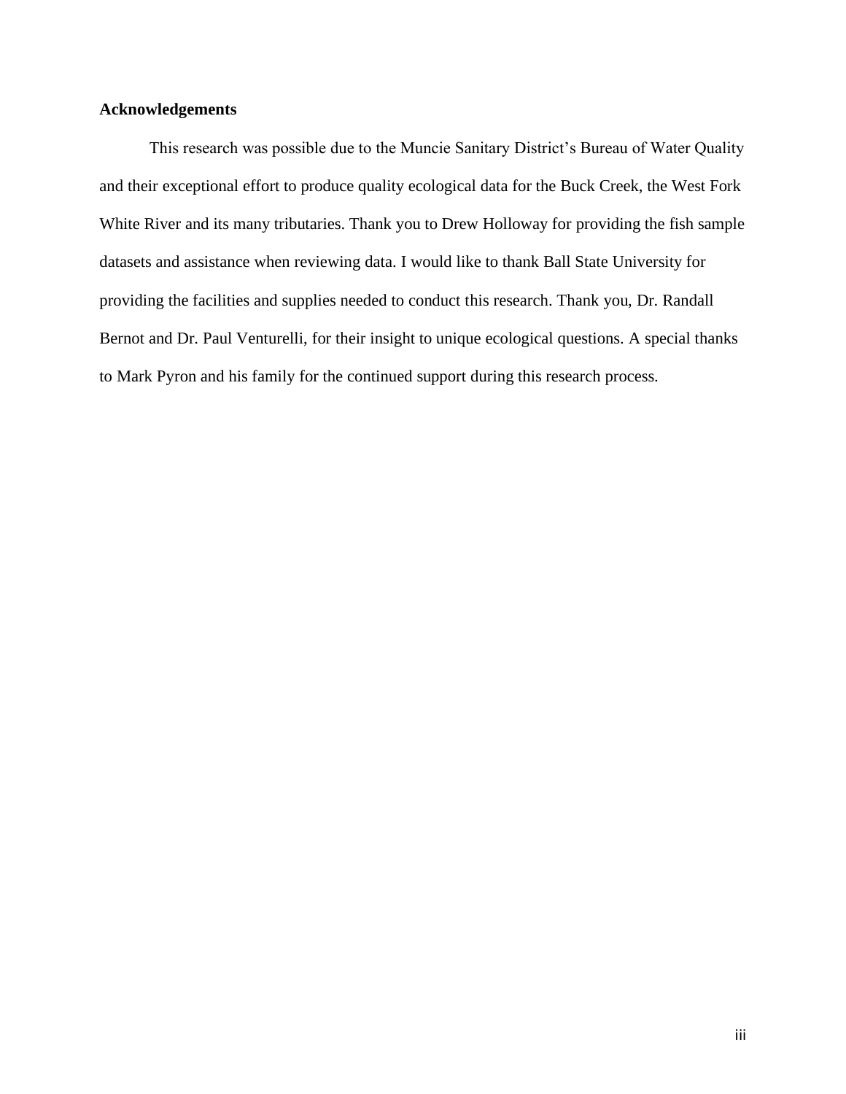# **Acknowledgements**

This research was possible due to the Muncie Sanitary District's Bureau of Water Quality and their exceptional effort to produce quality ecological data for the Buck Creek, the West Fork White River and its many tributaries. Thank you to Drew Holloway for providing the fish sample datasets and assistance when reviewing data. I would like to thank Ball State University for providing the facilities and supplies needed to conduct this research. Thank you, Dr. Randall Bernot and Dr. Paul Venturelli, for their insight to unique ecological questions. A special thanks to Mark Pyron and his family for the continued support during this research process.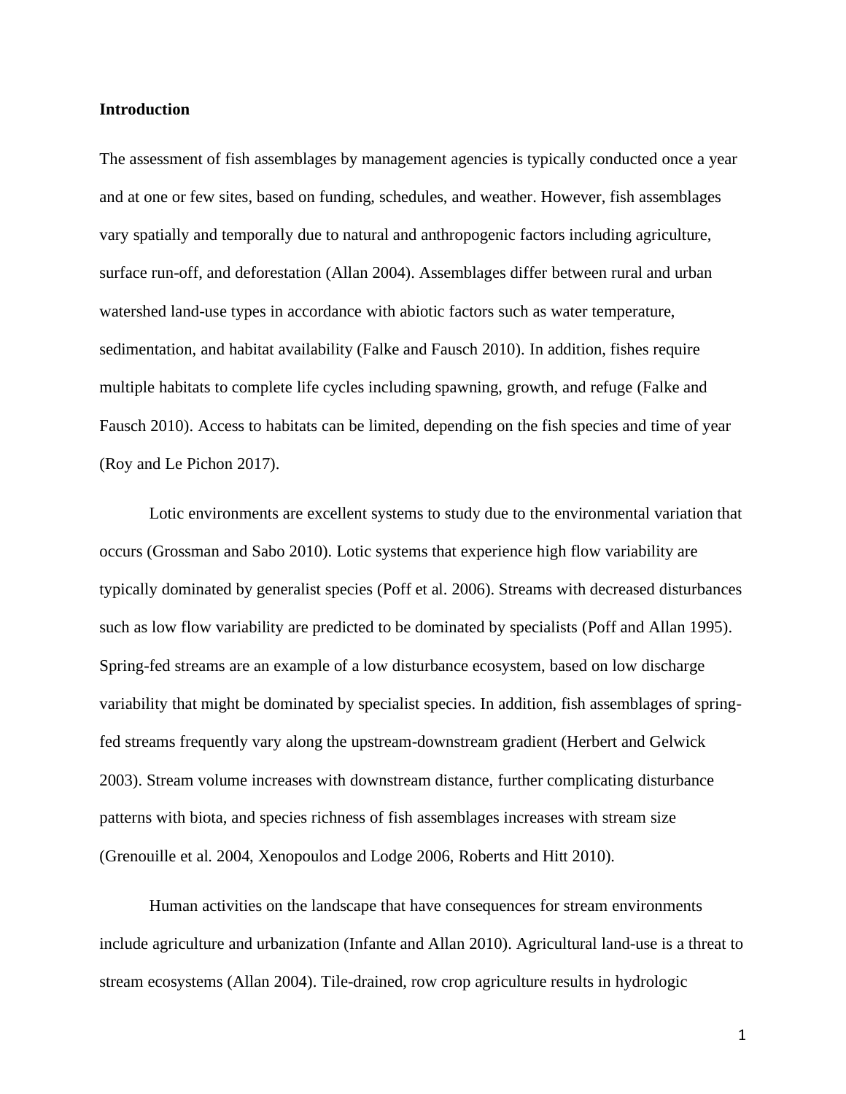#### **Introduction**

The assessment of fish assemblages by management agencies is typically conducted once a year and at one or few sites, based on funding, schedules, and weather. However, fish assemblages vary spatially and temporally due to natural and anthropogenic factors including agriculture, surface run-off, and deforestation (Allan 2004). Assemblages differ between rural and urban watershed land-use types in accordance with abiotic factors such as water temperature, sedimentation, and habitat availability (Falke and Fausch 2010). In addition, fishes require multiple habitats to complete life cycles including spawning, growth, and refuge (Falke and Fausch 2010). Access to habitats can be limited, depending on the fish species and time of year (Roy and Le Pichon 2017).

Lotic environments are excellent systems to study due to the environmental variation that occurs (Grossman and Sabo 2010). Lotic systems that experience high flow variability are typically dominated by generalist species (Poff et al. 2006). Streams with decreased disturbances such as low flow variability are predicted to be dominated by specialists (Poff and Allan 1995). Spring-fed streams are an example of a low disturbance ecosystem, based on low discharge variability that might be dominated by specialist species. In addition, fish assemblages of springfed streams frequently vary along the upstream-downstream gradient (Herbert and Gelwick 2003). Stream volume increases with downstream distance, further complicating disturbance patterns with biota, and species richness of fish assemblages increases with stream size (Grenouille et al. 2004, Xenopoulos and Lodge 2006, Roberts and Hitt 2010).

Human activities on the landscape that have consequences for stream environments include agriculture and urbanization (Infante and Allan 2010). Agricultural land-use is a threat to stream ecosystems (Allan 2004). Tile-drained, row crop agriculture results in hydrologic

1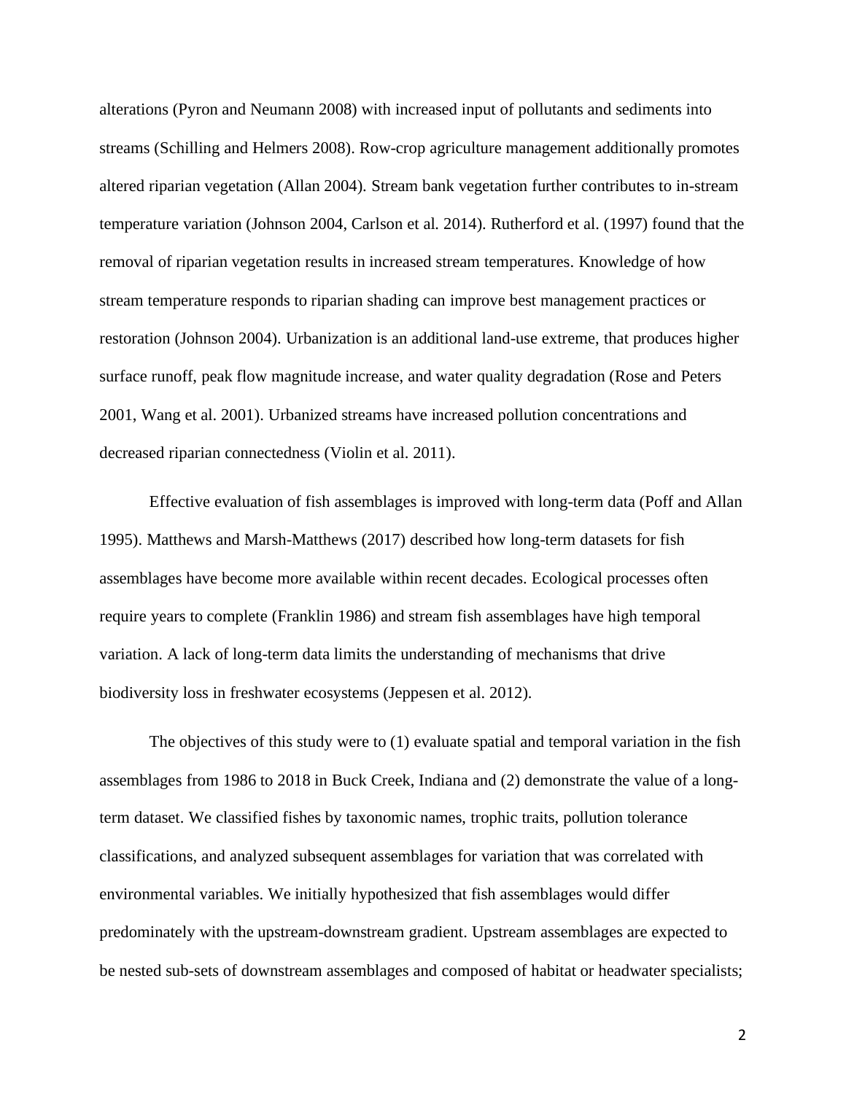alterations (Pyron and Neumann 2008) with increased input of pollutants and sediments into streams (Schilling and Helmers 2008). Row-crop agriculture management additionally promotes altered riparian vegetation (Allan 2004). Stream bank vegetation further contributes to in-stream temperature variation (Johnson 2004, Carlson et al. 2014). Rutherford et al. (1997) found that the removal of riparian vegetation results in increased stream temperatures. Knowledge of how stream temperature responds to riparian shading can improve best management practices or restoration (Johnson 2004). Urbanization is an additional land-use extreme, that produces higher surface runoff, peak flow magnitude increase, and water quality degradation (Rose and Peters 2001, Wang et al. 2001). Urbanized streams have increased pollution concentrations and decreased riparian connectedness (Violin et al. 2011).

Effective evaluation of fish assemblages is improved with long-term data (Poff and Allan 1995). Matthews and Marsh-Matthews (2017) described how long-term datasets for fish assemblages have become more available within recent decades. Ecological processes often require years to complete (Franklin 1986) and stream fish assemblages have high temporal variation. A lack of long-term data limits the understanding of mechanisms that drive biodiversity loss in freshwater ecosystems (Jeppesen et al. 2012).

The objectives of this study were to (1) evaluate spatial and temporal variation in the fish assemblages from 1986 to 2018 in Buck Creek, Indiana and (2) demonstrate the value of a longterm dataset. We classified fishes by taxonomic names, trophic traits, pollution tolerance classifications, and analyzed subsequent assemblages for variation that was correlated with environmental variables. We initially hypothesized that fish assemblages would differ predominately with the upstream-downstream gradient. Upstream assemblages are expected to be nested sub-sets of downstream assemblages and composed of habitat or headwater specialists;

2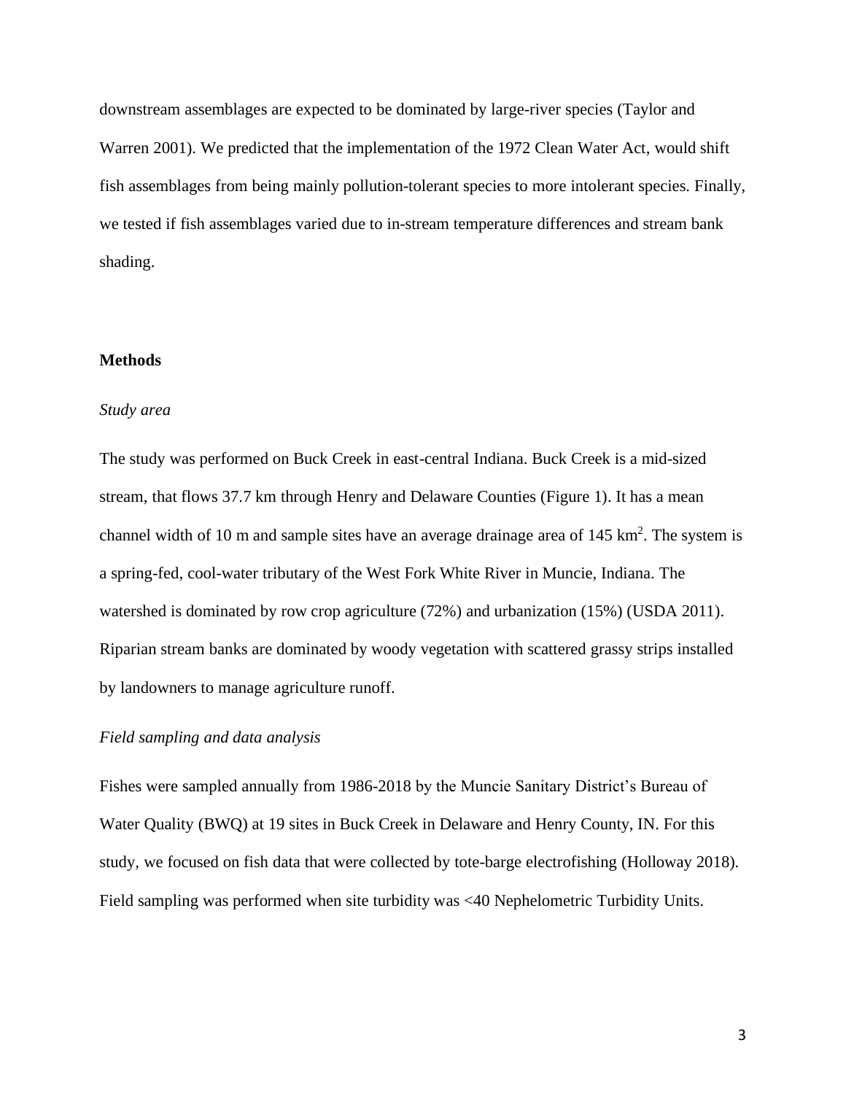downstream assemblages are expected to be dominated by large-river species (Taylor and Warren 2001). We predicted that the implementation of the 1972 Clean Water Act, would shift fish assemblages from being mainly pollution-tolerant species to more intolerant species. Finally, we tested if fish assemblages varied due to in-stream temperature differences and stream bank shading.

# **Methods**

#### *Study area*

The study was performed on Buck Creek in east-central Indiana. Buck Creek is a mid-sized stream, that flows 37.7 km through Henry and Delaware Counties (Figure 1). It has a mean channel width of 10 m and sample sites have an average drainage area of  $145 \text{ km}^2$ . The system is a spring-fed, cool-water tributary of the West Fork White River in Muncie, Indiana. The watershed is dominated by row crop agriculture (72%) and urbanization (15%) (USDA 2011). Riparian stream banks are dominated by woody vegetation with scattered grassy strips installed by landowners to manage agriculture runoff.

#### *Field sampling and data analysis*

Fishes were sampled annually from 1986-2018 by the Muncie Sanitary District's Bureau of Water Quality (BWQ) at 19 sites in Buck Creek in Delaware and Henry County, IN. For this study, we focused on fish data that were collected by tote-barge electrofishing (Holloway 2018). Field sampling was performed when site turbidity was <40 Nephelometric Turbidity Units.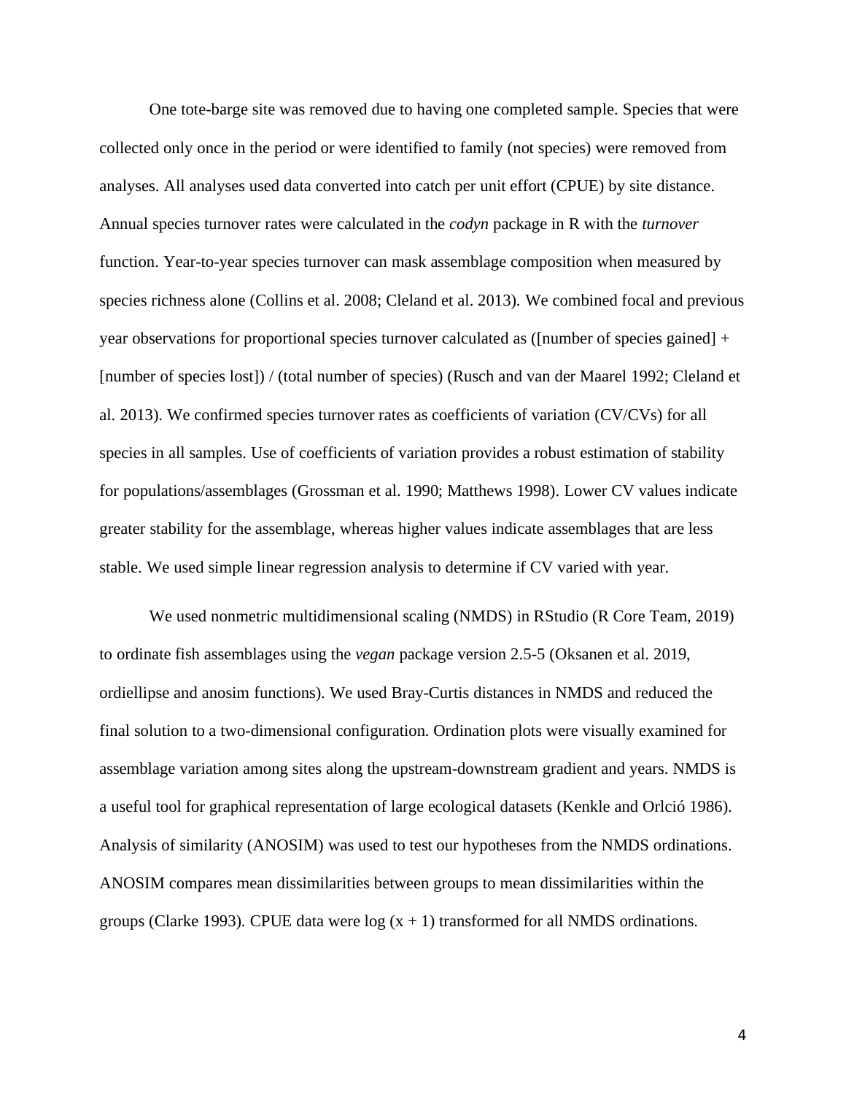One tote-barge site was removed due to having one completed sample. Species that were collected only once in the period or were identified to family (not species) were removed from analyses. All analyses used data converted into catch per unit effort (CPUE) by site distance. Annual species turnover rates were calculated in the *codyn* package in R with the *turnover* function. Year-to-year species turnover can mask assemblage composition when measured by species richness alone (Collins et al. 2008; Cleland et al. 2013). We combined focal and previous year observations for proportional species turnover calculated as ([number of species gained] + [number of species lost]) / (total number of species) (Rusch and van der Maarel 1992; Cleland et al. 2013). We confirmed species turnover rates as coefficients of variation (CV/CVs) for all species in all samples. Use of coefficients of variation provides a robust estimation of stability for populations/assemblages (Grossman et al. 1990; Matthews 1998). Lower CV values indicate greater stability for the assemblage, whereas higher values indicate assemblages that are less stable. We used simple linear regression analysis to determine if CV varied with year.

We used nonmetric multidimensional scaling (NMDS) in RStudio (R Core Team, 2019) to ordinate fish assemblages using the *vegan* package version 2.5-5 (Oksanen et al. 2019, ordiellipse and anosim functions). We used Bray-Curtis distances in NMDS and reduced the final solution to a two-dimensional configuration. Ordination plots were visually examined for assemblage variation among sites along the upstream-downstream gradient and years. NMDS is a useful tool for graphical representation of large ecological datasets (Kenkle and Orlció 1986). Analysis of similarity (ANOSIM) was used to test our hypotheses from the NMDS ordinations. ANOSIM compares mean dissimilarities between groups to mean dissimilarities within the groups (Clarke 1993). CPUE data were  $log(x + 1)$  transformed for all NMDS ordinations.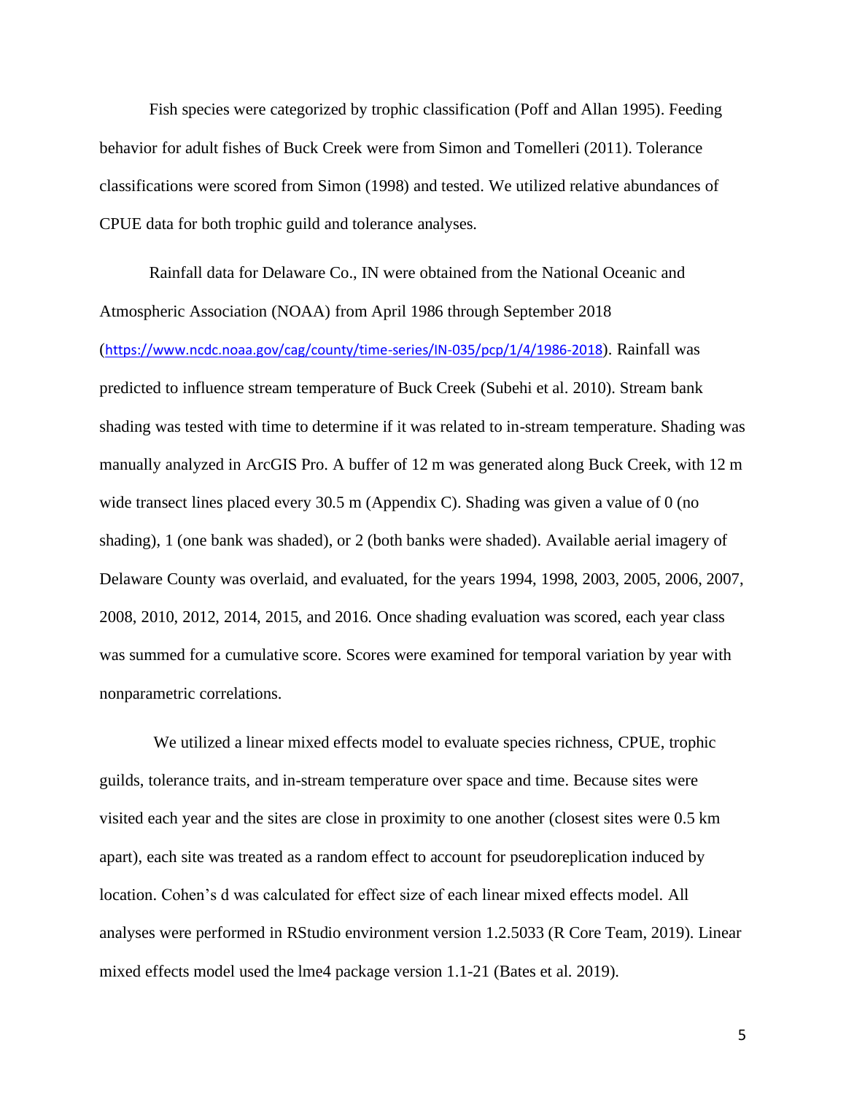Fish species were categorized by trophic classification (Poff and Allan 1995). Feeding behavior for adult fishes of Buck Creek were from Simon and Tomelleri (2011). Tolerance classifications were scored from Simon (1998) and tested. We utilized relative abundances of CPUE data for both trophic guild and tolerance analyses.

Rainfall data for Delaware Co., IN were obtained from the National Oceanic and Atmospheric Association (NOAA) from April 1986 through September 2018 (<https://www.ncdc.noaa.gov/cag/county/time-series/IN-035/pcp/1/4/1986-2018>). Rainfall was predicted to influence stream temperature of Buck Creek (Subehi et al. 2010). Stream bank shading was tested with time to determine if it was related to in-stream temperature. Shading was manually analyzed in ArcGIS Pro. A buffer of 12 m was generated along Buck Creek, with 12 m wide transect lines placed every 30.5 m (Appendix C). Shading was given a value of 0 (no shading), 1 (one bank was shaded), or 2 (both banks were shaded). Available aerial imagery of Delaware County was overlaid, and evaluated, for the years 1994, 1998, 2003, 2005, 2006, 2007, 2008, 2010, 2012, 2014, 2015, and 2016. Once shading evaluation was scored, each year class was summed for a cumulative score. Scores were examined for temporal variation by year with nonparametric correlations.

We utilized a linear mixed effects model to evaluate species richness, CPUE, trophic guilds, tolerance traits, and in-stream temperature over space and time. Because sites were visited each year and the sites are close in proximity to one another (closest sites were 0.5 km apart), each site was treated as a random effect to account for pseudoreplication induced by location. Cohen's d was calculated for effect size of each linear mixed effects model. All analyses were performed in RStudio environment version 1.2.5033 (R Core Team, 2019). Linear mixed effects model used the lme4 package version 1.1-21 (Bates et al. 2019).

5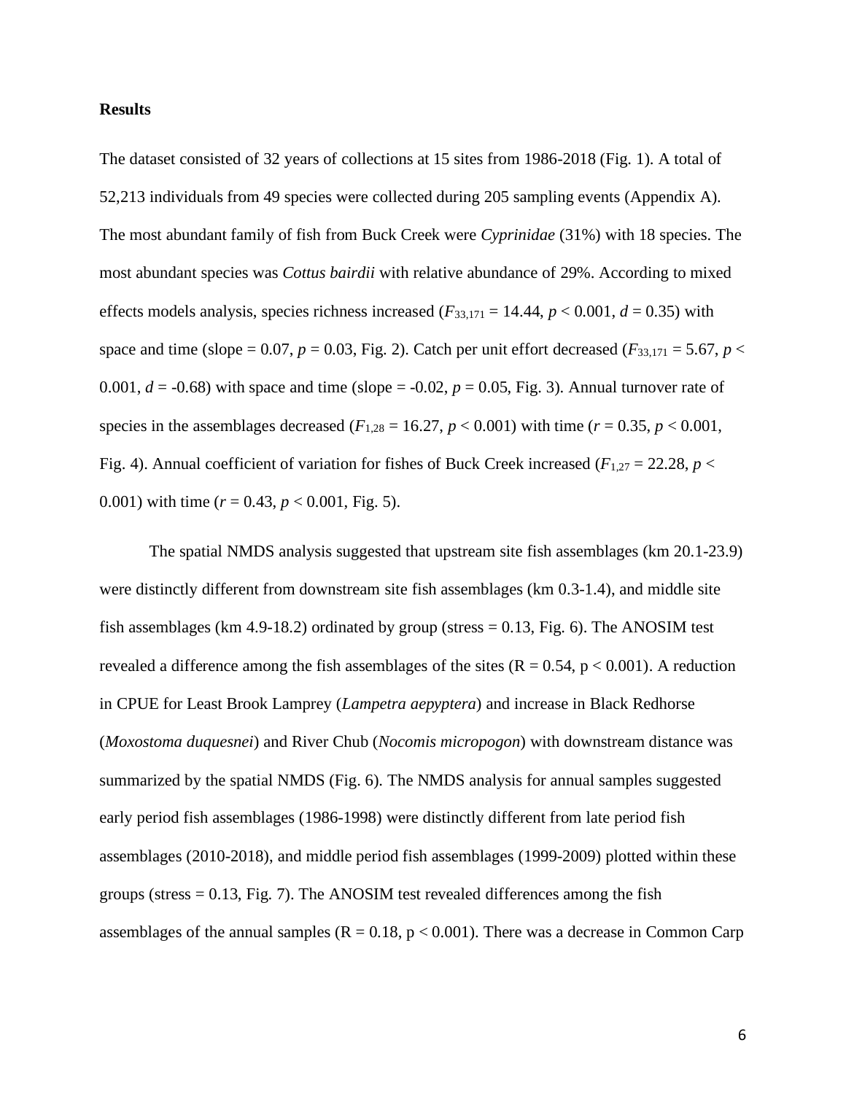#### **Results**

The dataset consisted of 32 years of collections at 15 sites from 1986-2018 (Fig. 1). A total of 52,213 individuals from 49 species were collected during 205 sampling events (Appendix A). The most abundant family of fish from Buck Creek were *Cyprinidae* (31%) with 18 species. The most abundant species was *Cottus bairdii* with relative abundance of 29%. According to mixed effects models analysis, species richness increased ( $F_{33,171} = 14.44$ ,  $p < 0.001$ ,  $d = 0.35$ ) with space and time (slope = 0.07,  $p = 0.03$ , Fig. 2). Catch per unit effort decreased ( $F_{33,171} = 5.67$ ,  $p <$ 0.001,  $d = -0.68$ ) with space and time (slope =  $-0.02$ ,  $p = 0.05$ , Fig. 3). Annual turnover rate of species in the assemblages decreased ( $F_{1,28} = 16.27$ ,  $p < 0.001$ ) with time ( $r = 0.35$ ,  $p < 0.001$ , Fig. 4). Annual coefficient of variation for fishes of Buck Creek increased ( $F_{1,27} = 22.28$ ,  $p <$ 0.001) with time  $(r = 0.43, p < 0.001,$  Fig. 5).

The spatial NMDS analysis suggested that upstream site fish assemblages (km 20.1-23.9) were distinctly different from downstream site fish assemblages (km 0.3-1.4), and middle site fish assemblages (km 4.9-18.2) ordinated by group (stress  $= 0.13$ , Fig. 6). The ANOSIM test revealed a difference among the fish assemblages of the sites  $(R = 0.54, p < 0.001)$ . A reduction in CPUE for Least Brook Lamprey (*Lampetra aepyptera*) and increase in Black Redhorse (*Moxostoma duquesnei*) and River Chub (*Nocomis micropogon*) with downstream distance was summarized by the spatial NMDS (Fig. 6). The NMDS analysis for annual samples suggested early period fish assemblages (1986-1998) were distinctly different from late period fish assemblages (2010-2018), and middle period fish assemblages (1999-2009) plotted within these groups (stress  $= 0.13$ , Fig. 7). The ANOSIM test revealed differences among the fish assemblages of the annual samples ( $R = 0.18$ ,  $p < 0.001$ ). There was a decrease in Common Carp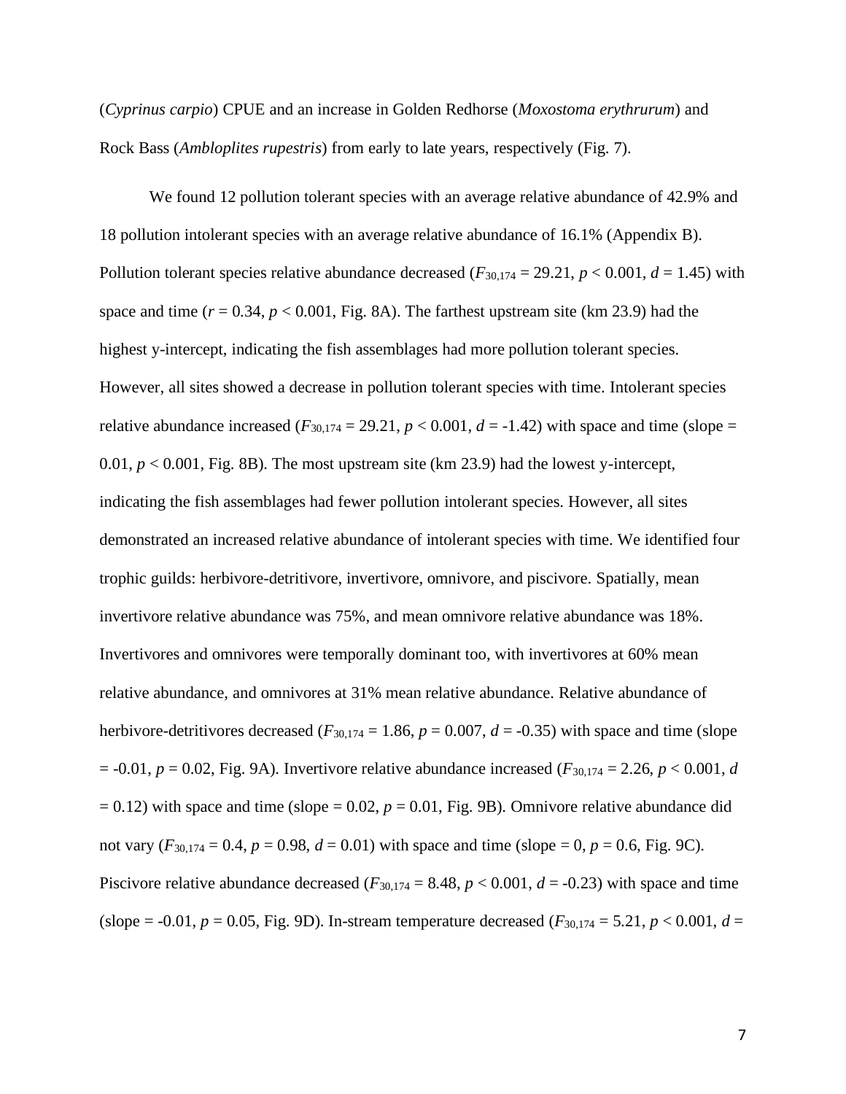(*Cyprinus carpio*) CPUE and an increase in Golden Redhorse (*Moxostoma erythrurum*) and Rock Bass (*Ambloplites rupestris*) from early to late years, respectively (Fig. 7).

We found 12 pollution tolerant species with an average relative abundance of 42.9% and 18 pollution intolerant species with an average relative abundance of 16.1% (Appendix B). Pollution tolerant species relative abundance decreased  $(F_{30,174} = 29.21, p < 0.001, d = 1.45)$  with space and time  $(r = 0.34, p < 0.001,$  Fig. 8A). The farthest upstream site (km 23.9) had the highest y-intercept, indicating the fish assemblages had more pollution tolerant species. However, all sites showed a decrease in pollution tolerant species with time. Intolerant species relative abundance increased  $(F_{30,174} = 29.21, p < 0.001, d = -1.42)$  with space and time (slope = 0.01,  $p < 0.001$ , Fig. 8B). The most upstream site (km 23.9) had the lowest y-intercept, indicating the fish assemblages had fewer pollution intolerant species. However, all sites demonstrated an increased relative abundance of intolerant species with time. We identified four trophic guilds: herbivore-detritivore, invertivore, omnivore, and piscivore. Spatially, mean invertivore relative abundance was 75%, and mean omnivore relative abundance was 18%. Invertivores and omnivores were temporally dominant too, with invertivores at 60% mean relative abundance, and omnivores at 31% mean relative abundance. Relative abundance of herbivore-detritivores decreased ( $F_{30,174} = 1.86$ ,  $p = 0.007$ ,  $d = -0.35$ ) with space and time (slope  $p = -0.01$ ,  $p = 0.02$ , Fig. 9A). Invertivore relative abundance increased ( $F_{30,174} = 2.26$ ,  $p < 0.001$ , *d*  $= 0.12$ ) with space and time (slope  $= 0.02$ ,  $p = 0.01$ , Fig. 9B). Omnivore relative abundance did not vary  $(F_{30,174} = 0.4, p = 0.98, d = 0.01)$  with space and time (slope = 0,  $p = 0.6$ , Fig. 9C). Piscivore relative abundance decreased ( $F_{30,174} = 8.48$ ,  $p < 0.001$ ,  $d = -0.23$ ) with space and time (slope =  $-0.01$ , *p* = 0.05, Fig. 9D). In-stream temperature decreased ( $F_{30,174} = 5.21$ , *p* < 0.001, *d* =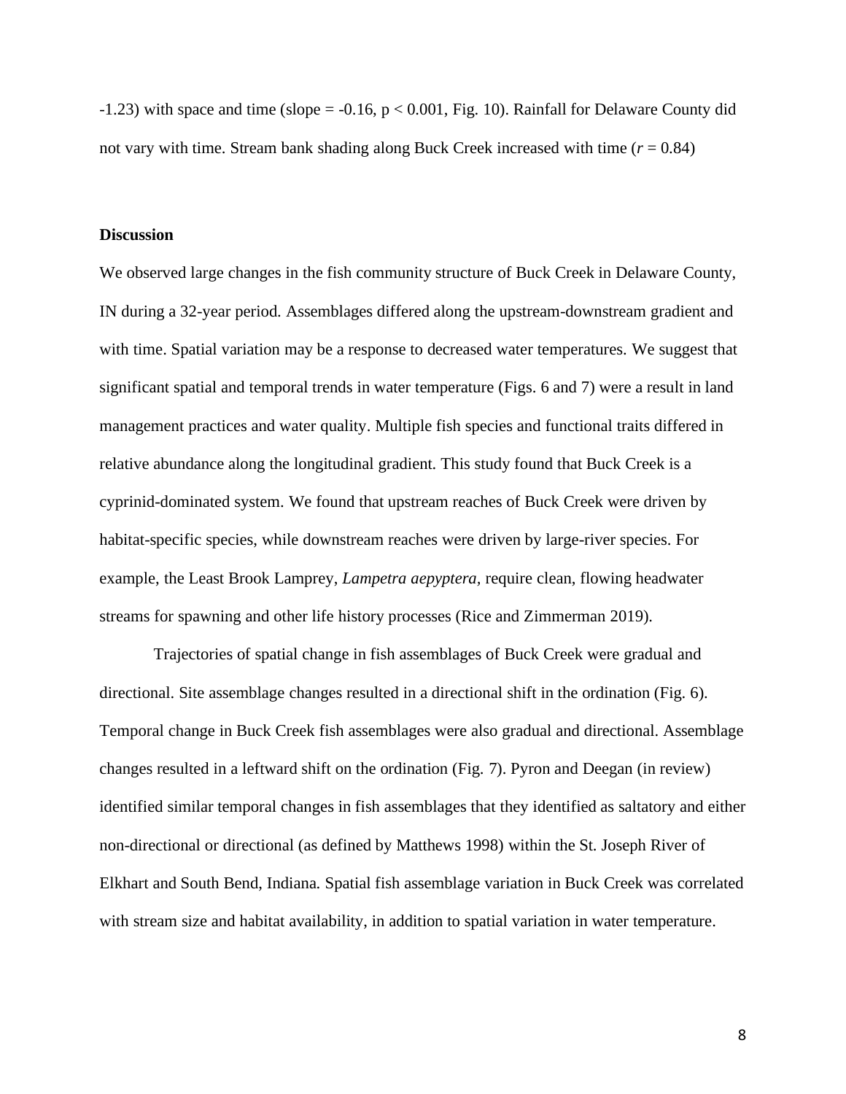$-1.23$ ) with space and time (slope =  $-0.16$ , p < 0.001, Fig. 10). Rainfall for Delaware County did not vary with time. Stream bank shading along Buck Creek increased with time (*r* = 0.84)

#### **Discussion**

We observed large changes in the fish community structure of Buck Creek in Delaware County, IN during a 32-year period. Assemblages differed along the upstream-downstream gradient and with time. Spatial variation may be a response to decreased water temperatures. We suggest that significant spatial and temporal trends in water temperature (Figs. 6 and 7) were a result in land management practices and water quality. Multiple fish species and functional traits differed in relative abundance along the longitudinal gradient. This study found that Buck Creek is a cyprinid-dominated system. We found that upstream reaches of Buck Creek were driven by habitat-specific species, while downstream reaches were driven by large-river species. For example, the Least Brook Lamprey, *Lampetra aepyptera,* require clean, flowing headwater streams for spawning and other life history processes (Rice and Zimmerman 2019).

Trajectories of spatial change in fish assemblages of Buck Creek were gradual and directional. Site assemblage changes resulted in a directional shift in the ordination (Fig. 6). Temporal change in Buck Creek fish assemblages were also gradual and directional. Assemblage changes resulted in a leftward shift on the ordination (Fig. 7). Pyron and Deegan (in review) identified similar temporal changes in fish assemblages that they identified as saltatory and either non-directional or directional (as defined by Matthews 1998) within the St. Joseph River of Elkhart and South Bend, Indiana. Spatial fish assemblage variation in Buck Creek was correlated with stream size and habitat availability, in addition to spatial variation in water temperature.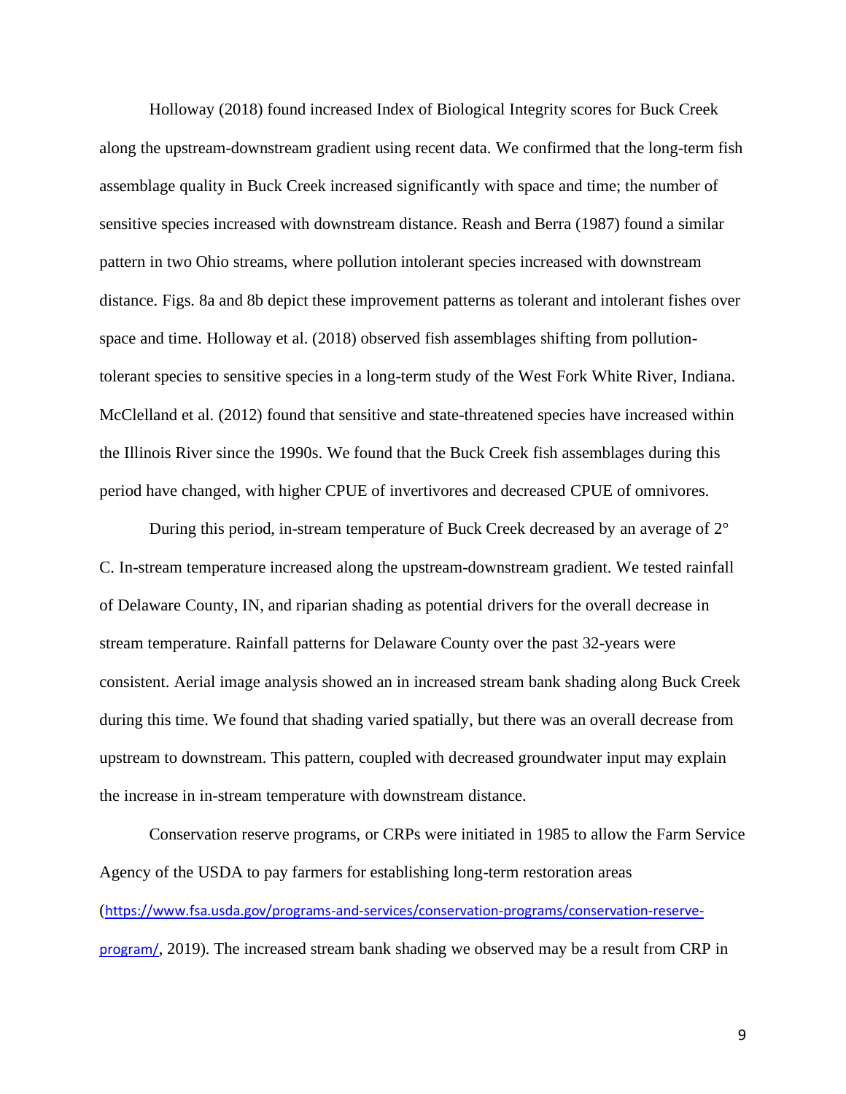Holloway (2018) found increased Index of Biological Integrity scores for Buck Creek along the upstream-downstream gradient using recent data. We confirmed that the long-term fish assemblage quality in Buck Creek increased significantly with space and time; the number of sensitive species increased with downstream distance. Reash and Berra (1987) found a similar pattern in two Ohio streams, where pollution intolerant species increased with downstream distance. Figs. 8a and 8b depict these improvement patterns as tolerant and intolerant fishes over space and time. Holloway et al. (2018) observed fish assemblages shifting from pollutiontolerant species to sensitive species in a long-term study of the West Fork White River, Indiana. McClelland et al. (2012) found that sensitive and state-threatened species have increased within the Illinois River since the 1990s. We found that the Buck Creek fish assemblages during this period have changed, with higher CPUE of invertivores and decreased CPUE of omnivores.

During this period, in-stream temperature of Buck Creek decreased by an average of 2° C. In-stream temperature increased along the upstream-downstream gradient. We tested rainfall of Delaware County, IN, and riparian shading as potential drivers for the overall decrease in stream temperature. Rainfall patterns for Delaware County over the past 32-years were consistent. Aerial image analysis showed an in increased stream bank shading along Buck Creek during this time. We found that shading varied spatially, but there was an overall decrease from upstream to downstream. This pattern, coupled with decreased groundwater input may explain the increase in in-stream temperature with downstream distance.

Conservation reserve programs, or CRPs were initiated in 1985 to allow the Farm Service Agency of the USDA to pay farmers for establishing long-term restoration areas ([https://www.fsa.usda.gov/programs-and-services/conservation-programs/conservation-reserve](https://www.fsa.usda.gov/programs-and-services/conservation-programs/conservation-reserve-program/)[program/](https://www.fsa.usda.gov/programs-and-services/conservation-programs/conservation-reserve-program/), 2019). The increased stream bank shading we observed may be a result from CRP in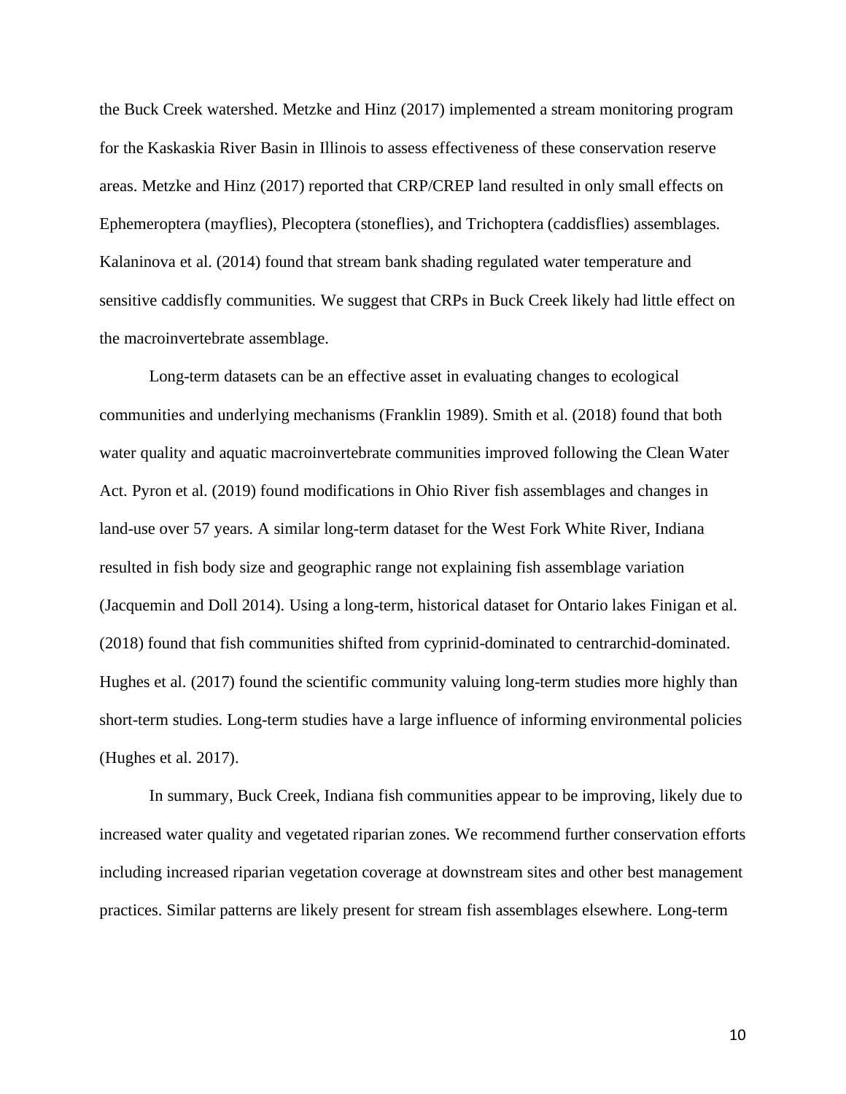the Buck Creek watershed. Metzke and Hinz (2017) implemented a stream monitoring program for the Kaskaskia River Basin in Illinois to assess effectiveness of these conservation reserve areas. Metzke and Hinz (2017) reported that CRP/CREP land resulted in only small effects on Ephemeroptera (mayflies), Plecoptera (stoneflies), and Trichoptera (caddisflies) assemblages. Kalaninova et al. (2014) found that stream bank shading regulated water temperature and sensitive caddisfly communities. We suggest that CRPs in Buck Creek likely had little effect on the macroinvertebrate assemblage.

Long-term datasets can be an effective asset in evaluating changes to ecological communities and underlying mechanisms (Franklin 1989). Smith et al. (2018) found that both water quality and aquatic macroinvertebrate communities improved following the Clean Water Act. Pyron et al. (2019) found modifications in Ohio River fish assemblages and changes in land-use over 57 years. A similar long-term dataset for the West Fork White River, Indiana resulted in fish body size and geographic range not explaining fish assemblage variation (Jacquemin and Doll 2014). Using a long-term, historical dataset for Ontario lakes Finigan et al. (2018) found that fish communities shifted from cyprinid-dominated to centrarchid-dominated. Hughes et al. (2017) found the scientific community valuing long-term studies more highly than short-term studies. Long-term studies have a large influence of informing environmental policies (Hughes et al. 2017).

In summary, Buck Creek, Indiana fish communities appear to be improving, likely due to increased water quality and vegetated riparian zones. We recommend further conservation efforts including increased riparian vegetation coverage at downstream sites and other best management practices. Similar patterns are likely present for stream fish assemblages elsewhere. Long-term

10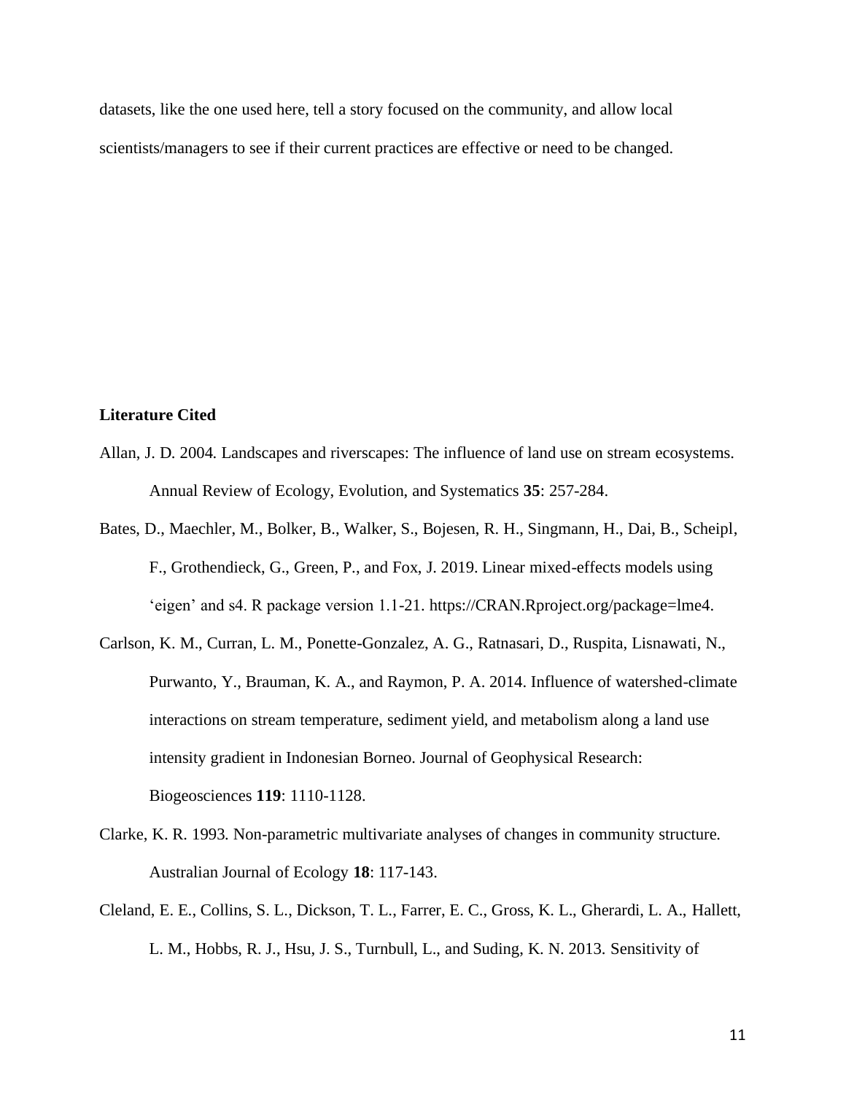datasets, like the one used here, tell a story focused on the community, and allow local scientists/managers to see if their current practices are effective or need to be changed.

#### **Literature Cited**

- Allan, J. D. 2004. Landscapes and riverscapes: The influence of land use on stream ecosystems. Annual Review of Ecology, Evolution, and Systematics **35**: 257-284.
- Bates, D., Maechler, M., Bolker, B., Walker, S., Bojesen, R. H., Singmann, H., Dai, B., Scheipl, F., Grothendieck, G., Green, P., and Fox, J. 2019. Linear mixed-effects models using 'eigen' and s4. R package version 1.1-21. https://CRAN.Rproject.org/package=lme4.
- Carlson, K. M., Curran, L. M., Ponette-Gonzalez, A. G., Ratnasari, D., Ruspita, Lisnawati, N., Purwanto, Y., Brauman, K. A., and Raymon, P. A. 2014. Influence of watershed-climate interactions on stream temperature, sediment yield, and metabolism along a land use intensity gradient in Indonesian Borneo. Journal of Geophysical Research: Biogeosciences **119**: 1110-1128.
- Clarke, K. R. 1993. Non-parametric multivariate analyses of changes in community structure. Australian Journal of Ecology **18**: 117-143.
- Cleland, E. E., Collins, S. L., Dickson, T. L., Farrer, E. C., Gross, K. L., Gherardi, L. A., Hallett, L. M., Hobbs, R. J., Hsu, J. S., Turnbull, L., and Suding, K. N. 2013. Sensitivity of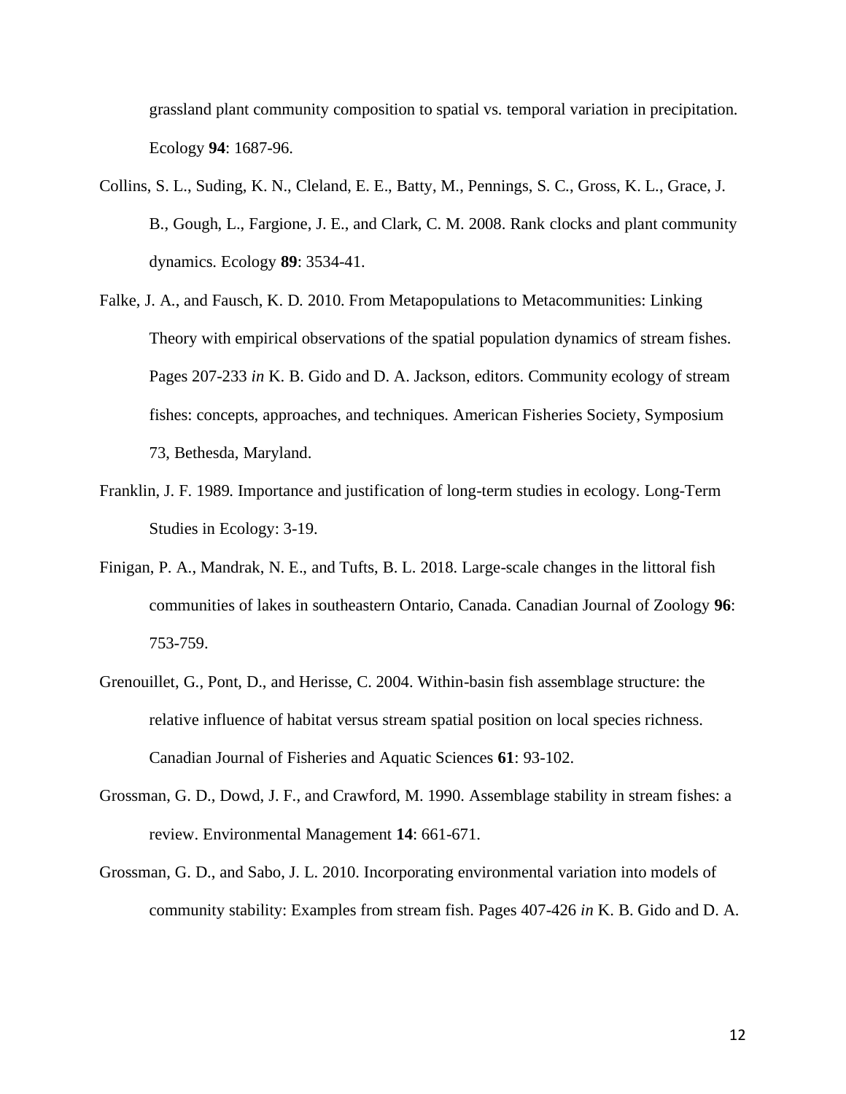grassland plant community composition to spatial vs. temporal variation in precipitation. Ecology **94**: 1687-96.

- Collins, S. L., Suding, K. N., Cleland, E. E., Batty, M., Pennings, S. C., Gross, K. L., Grace, J. B., Gough, L., Fargione, J. E., and Clark, C. M. 2008. Rank clocks and plant community dynamics. Ecology **89**: 3534-41.
- Falke, J. A., and Fausch, K. D. 2010. From Metapopulations to Metacommunities: Linking Theory with empirical observations of the spatial population dynamics of stream fishes. Pages 207-233 *in* K. B. Gido and D. A. Jackson, editors. Community ecology of stream fishes: concepts, approaches, and techniques. American Fisheries Society, Symposium 73, Bethesda, Maryland.
- Franklin, J. F. 1989. Importance and justification of long-term studies in ecology. Long-Term Studies in Ecology: 3-19.
- Finigan, P. A., Mandrak, N. E., and Tufts, B. L. 2018. Large-scale changes in the littoral fish communities of lakes in southeastern Ontario, Canada. Canadian Journal of Zoology **96**: 753-759.
- Grenouillet, G., Pont, D., and Herisse, C. 2004. Within-basin fish assemblage structure: the relative influence of habitat versus stream spatial position on local species richness. Canadian Journal of Fisheries and Aquatic Sciences **61**: 93-102.
- Grossman, G. D., Dowd, J. F., and Crawford, M. 1990. Assemblage stability in stream fishes: a review. Environmental Management **14**: 661-671.
- Grossman, G. D., and Sabo, J. L. 2010. Incorporating environmental variation into models of community stability: Examples from stream fish. Pages 407-426 *in* K. B. Gido and D. A.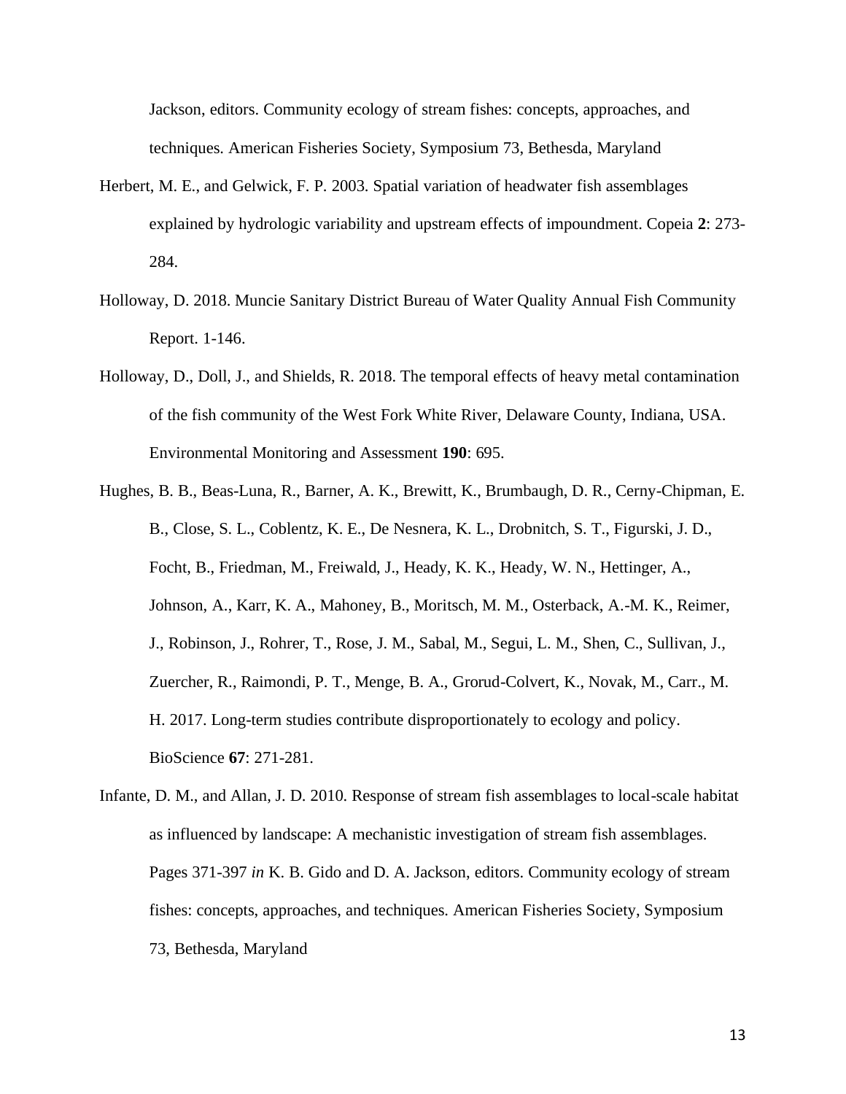Jackson, editors. Community ecology of stream fishes: concepts, approaches, and techniques. American Fisheries Society, Symposium 73, Bethesda, Maryland

- Herbert, M. E., and Gelwick, F. P. 2003. Spatial variation of headwater fish assemblages explained by hydrologic variability and upstream effects of impoundment. Copeia **2**: 273- 284.
- Holloway, D. 2018. Muncie Sanitary District Bureau of Water Quality Annual Fish Community Report. 1-146.
- Holloway, D., Doll, J., and Shields, R. 2018. The temporal effects of heavy metal contamination of the fish community of the West Fork White River, Delaware County, Indiana, USA. Environmental Monitoring and Assessment **190**: 695.
- Hughes, B. B., Beas-Luna, R., Barner, A. K., Brewitt, K., Brumbaugh, D. R., Cerny-Chipman, E. B., Close, S. L., Coblentz, K. E., De Nesnera, K. L., Drobnitch, S. T., Figurski, J. D., Focht, B., Friedman, M., Freiwald, J., Heady, K. K., Heady, W. N., Hettinger, A., Johnson, A., Karr, K. A., Mahoney, B., Moritsch, M. M., Osterback, A.-M. K., Reimer, J., Robinson, J., Rohrer, T., Rose, J. M., Sabal, M., Segui, L. M., Shen, C., Sullivan, J., Zuercher, R., Raimondi, P. T., Menge, B. A., Grorud-Colvert, K., Novak, M., Carr., M. H. 2017. Long-term studies contribute disproportionately to ecology and policy. BioScience **67**: 271-281.
- Infante, D. M., and Allan, J. D. 2010. Response of stream fish assemblages to local-scale habitat as influenced by landscape: A mechanistic investigation of stream fish assemblages. Pages 371-397 *in* K. B. Gido and D. A. Jackson, editors. Community ecology of stream fishes: concepts, approaches, and techniques. American Fisheries Society, Symposium 73, Bethesda, Maryland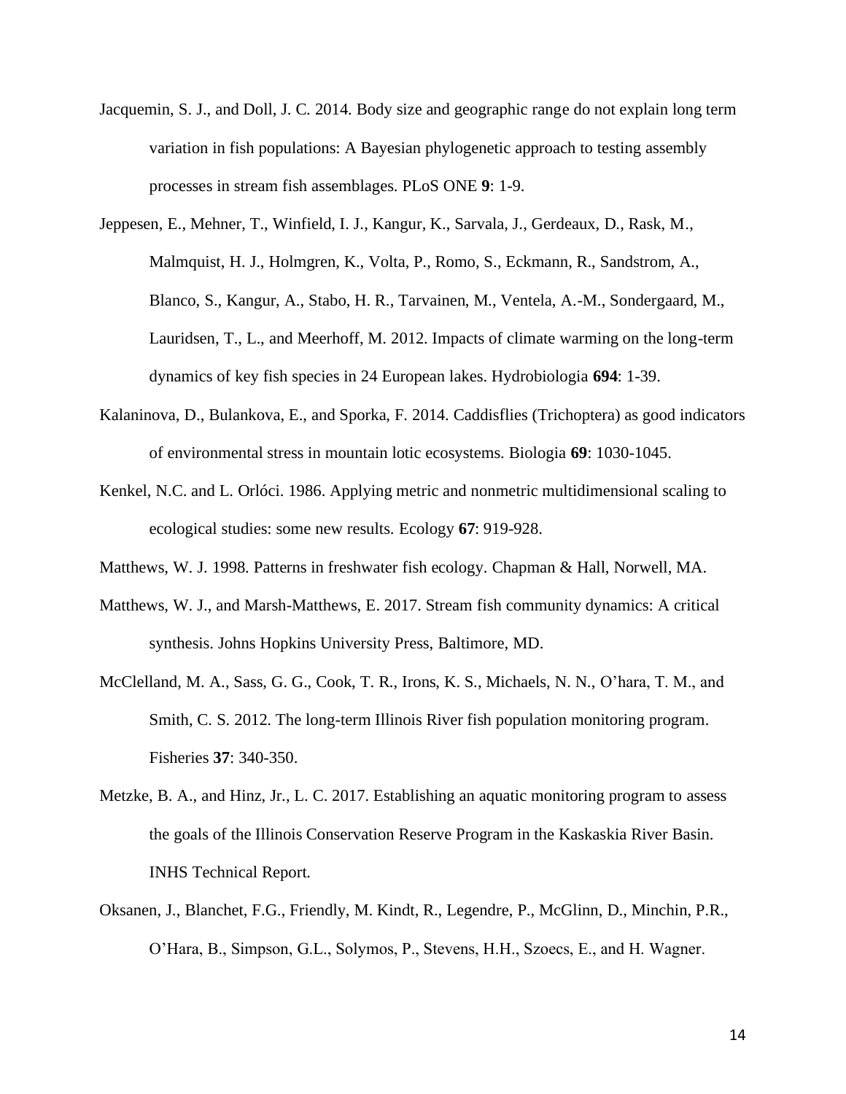- Jacquemin, S. J., and Doll, J. C. 2014. Body size and geographic range do not explain long term variation in fish populations: A Bayesian phylogenetic approach to testing assembly processes in stream fish assemblages. PLoS ONE **9**: 1-9.
- Jeppesen, E., Mehner, T., Winfield, I. J., Kangur, K., Sarvala, J., Gerdeaux, D., Rask, M., Malmquist, H. J., Holmgren, K., Volta, P., Romo, S., Eckmann, R., Sandstrom, A., Blanco, S., Kangur, A., Stabo, H. R., Tarvainen, M., Ventela, A.-M., Sondergaard, M., Lauridsen, T., L., and Meerhoff, M. 2012. Impacts of climate warming on the long-term dynamics of key fish species in 24 European lakes. Hydrobiologia **694**: 1-39.
- Kalaninova, D., Bulankova, E., and Sporka, F. 2014. Caddisflies (Trichoptera) as good indicators of environmental stress in mountain lotic ecosystems. Biologia **69**: 1030-1045.
- Kenkel, N.C. and L. Orlóci. 1986. Applying metric and nonmetric multidimensional scaling to ecological studies: some new results. Ecology **67**: 919-928.
- Matthews, W. J. 1998. Patterns in freshwater fish ecology. Chapman & Hall, Norwell, MA.
- Matthews, W. J., and Marsh-Matthews, E. 2017. Stream fish community dynamics: A critical synthesis. Johns Hopkins University Press, Baltimore, MD.
- McClelland, M. A., Sass, G. G., Cook, T. R., Irons, K. S., Michaels, N. N., O'hara, T. M., and Smith, C. S. 2012. The long-term Illinois River fish population monitoring program. Fisheries **37**: 340-350.
- Metzke, B. A., and Hinz, Jr., L. C. 2017. Establishing an aquatic monitoring program to assess the goals of the Illinois Conservation Reserve Program in the Kaskaskia River Basin. INHS Technical Report.
- Oksanen, J., Blanchet, F.G., Friendly, M. Kindt, R., Legendre, P., McGlinn, D., Minchin, P.R., O'Hara, B., Simpson, G.L., Solymos, P., Stevens, H.H., Szoecs, E., and H. Wagner.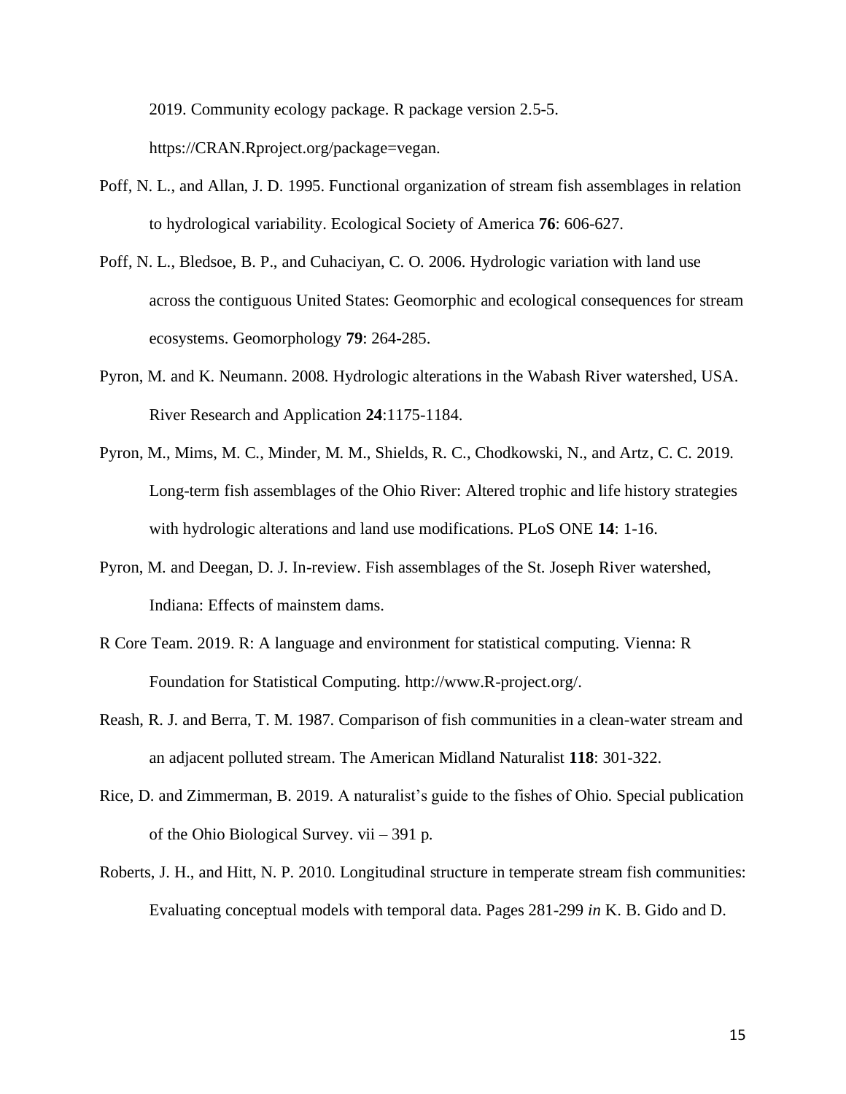2019. Community ecology package. R package version 2.5-5.

https://CRAN.Rproject.org/package=vegan.

- Poff, N. L., and Allan, J. D. 1995. Functional organization of stream fish assemblages in relation to hydrological variability. Ecological Society of America **76**: 606-627.
- Poff, N. L., Bledsoe, B. P., and Cuhaciyan, C. O. 2006. Hydrologic variation with land use across the contiguous United States: Geomorphic and ecological consequences for stream ecosystems. Geomorphology **79**: 264-285.
- Pyron, M. and K. Neumann. 2008. Hydrologic alterations in the Wabash River watershed, USA. River Research and Application **24**:1175-1184.
- Pyron, M., Mims, M. C., Minder, M. M., Shields, R. C., Chodkowski, N., and Artz, C. C. 2019. Long-term fish assemblages of the Ohio River: Altered trophic and life history strategies with hydrologic alterations and land use modifications. PLoS ONE **14**: 1-16.
- Pyron, M. and Deegan, D. J. In-review. Fish assemblages of the St. Joseph River watershed, Indiana: Effects of mainstem dams.
- R Core Team. 2019. R: A language and environment for statistical computing. Vienna: R Foundation for Statistical Computing. http://www.R-project.org/.
- Reash, R. J. and Berra, T. M. 1987. Comparison of fish communities in a clean-water stream and an adjacent polluted stream. The American Midland Naturalist **118**: 301-322.
- Rice, D. and Zimmerman, B. 2019. A naturalist's guide to the fishes of Ohio. Special publication of the Ohio Biological Survey. vii – 391 p.
- Roberts, J. H., and Hitt, N. P. 2010. Longitudinal structure in temperate stream fish communities: Evaluating conceptual models with temporal data. Pages 281-299 *in* K. B. Gido and D.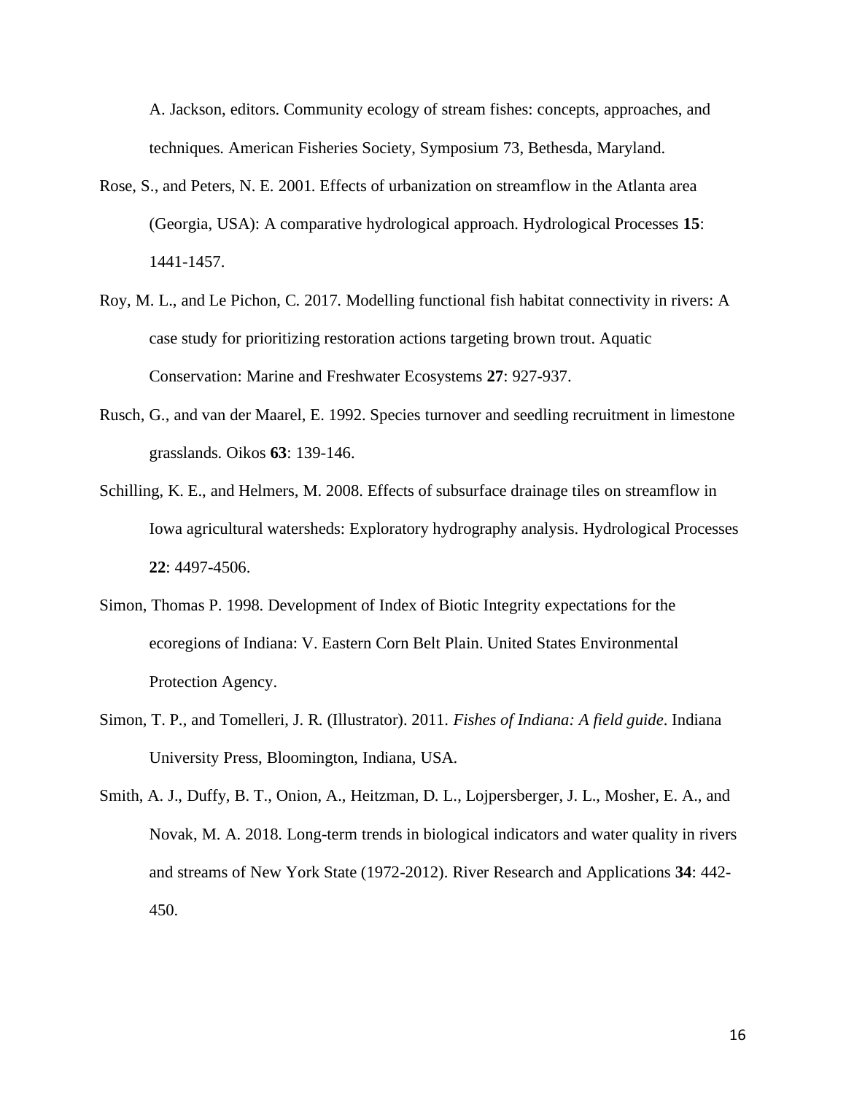A. Jackson, editors. Community ecology of stream fishes: concepts, approaches, and techniques. American Fisheries Society, Symposium 73, Bethesda, Maryland.

- Rose, S., and Peters, N. E. 2001. Effects of urbanization on streamflow in the Atlanta area (Georgia, USA): A comparative hydrological approach. Hydrological Processes **15**: 1441-1457.
- Roy, M. L., and Le Pichon, C. 2017. Modelling functional fish habitat connectivity in rivers: A case study for prioritizing restoration actions targeting brown trout. Aquatic Conservation: Marine and Freshwater Ecosystems **27**: 927-937.
- Rusch, G., and van der Maarel, E. 1992. Species turnover and seedling recruitment in limestone grasslands. Oikos **63**: 139-146.
- Schilling, K. E., and Helmers, M. 2008. Effects of subsurface drainage tiles on streamflow in Iowa agricultural watersheds: Exploratory hydrography analysis. Hydrological Processes **22**: 4497-4506.
- Simon, Thomas P. 1998. Development of Index of Biotic Integrity expectations for the ecoregions of Indiana: V. Eastern Corn Belt Plain. United States Environmental Protection Agency.
- Simon, T. P., and Tomelleri, J. R. (Illustrator). 2011. *Fishes of Indiana: A field guide*. Indiana University Press, Bloomington, Indiana, USA.

Smith, A. J., Duffy, B. T., Onion, A., Heitzman, D. L., Lojpersberger, J. L., Mosher, E. A., and Novak, M. A. 2018. Long-term trends in biological indicators and water quality in rivers and streams of New York State (1972-2012). River Research and Applications **34**: 442- 450.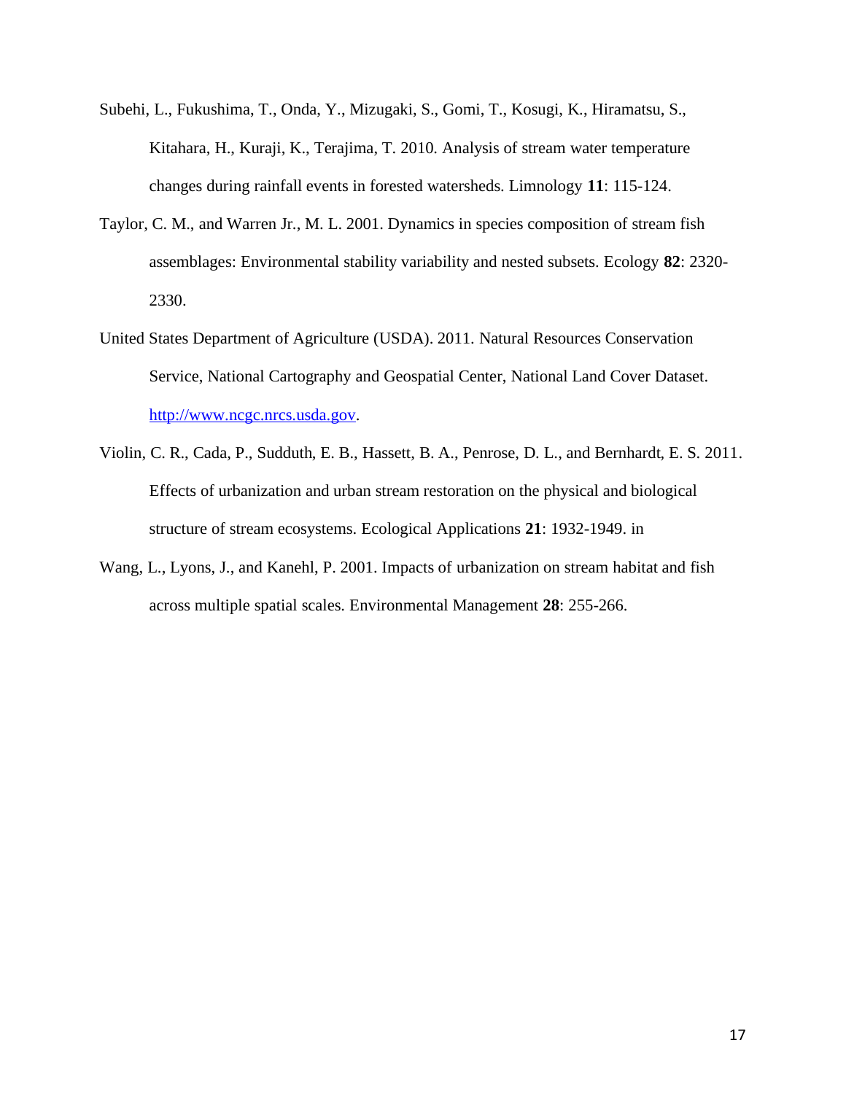- Subehi, L., Fukushima, T., Onda, Y., Mizugaki, S., Gomi, T., Kosugi, K., Hiramatsu, S., Kitahara, H., Kuraji, K., Terajima, T. 2010. Analysis of stream water temperature changes during rainfall events in forested watersheds. Limnology **11**: 115-124.
- Taylor, C. M., and Warren Jr., M. L. 2001. Dynamics in species composition of stream fish assemblages: Environmental stability variability and nested subsets. Ecology **82**: 2320- 2330.
- United States Department of Agriculture (USDA). 2011. Natural Resources Conservation Service, National Cartography and Geospatial Center, National Land Cover Dataset. [http://www.ncgc.nrcs.usda.gov.](http://www.ncgc.nrcs.usda.gov/)
- Violin, C. R., Cada, P., Sudduth, E. B., Hassett, B. A., Penrose, D. L., and Bernhardt, E. S. 2011. Effects of urbanization and urban stream restoration on the physical and biological structure of stream ecosystems. Ecological Applications **21**: 1932-1949. in
- Wang, L., Lyons, J., and Kanehl, P. 2001. Impacts of urbanization on stream habitat and fish across multiple spatial scales. Environmental Management **28**: 255-266.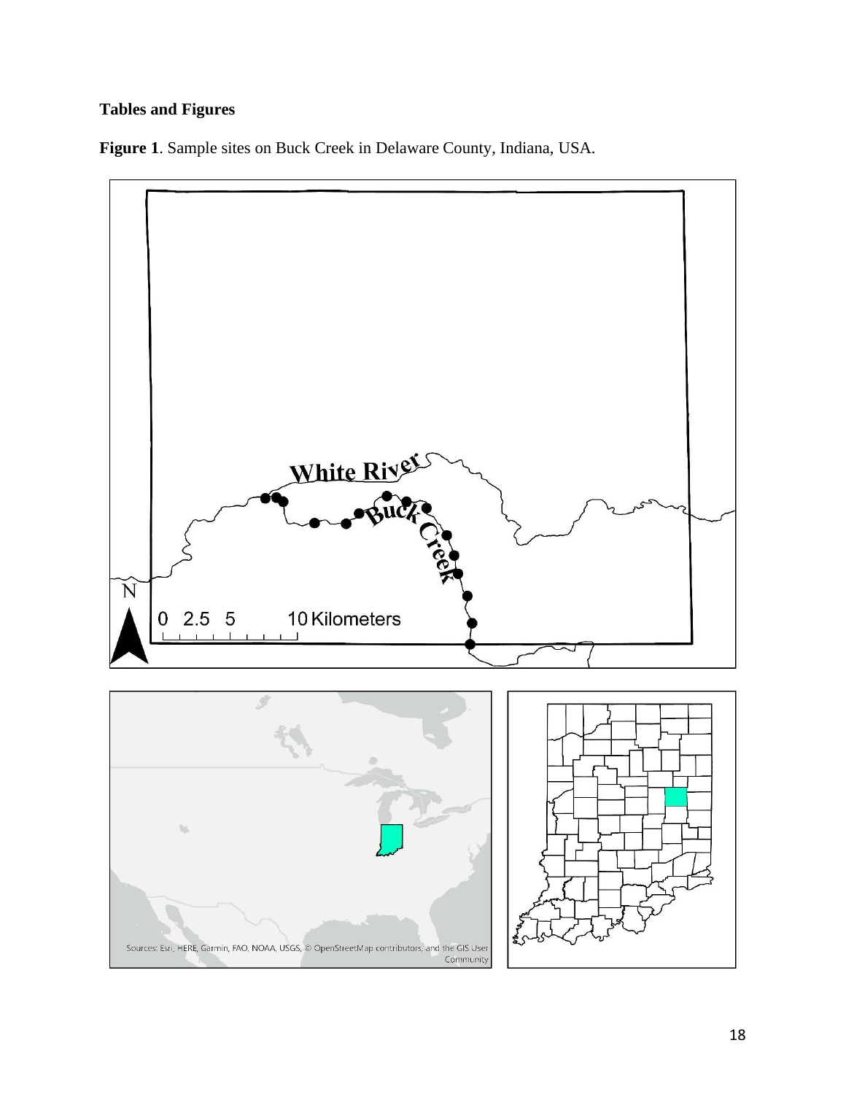# **Tables and Figures**

**Figure 1**. Sample sites on Buck Creek in Delaware County, Indiana, USA.



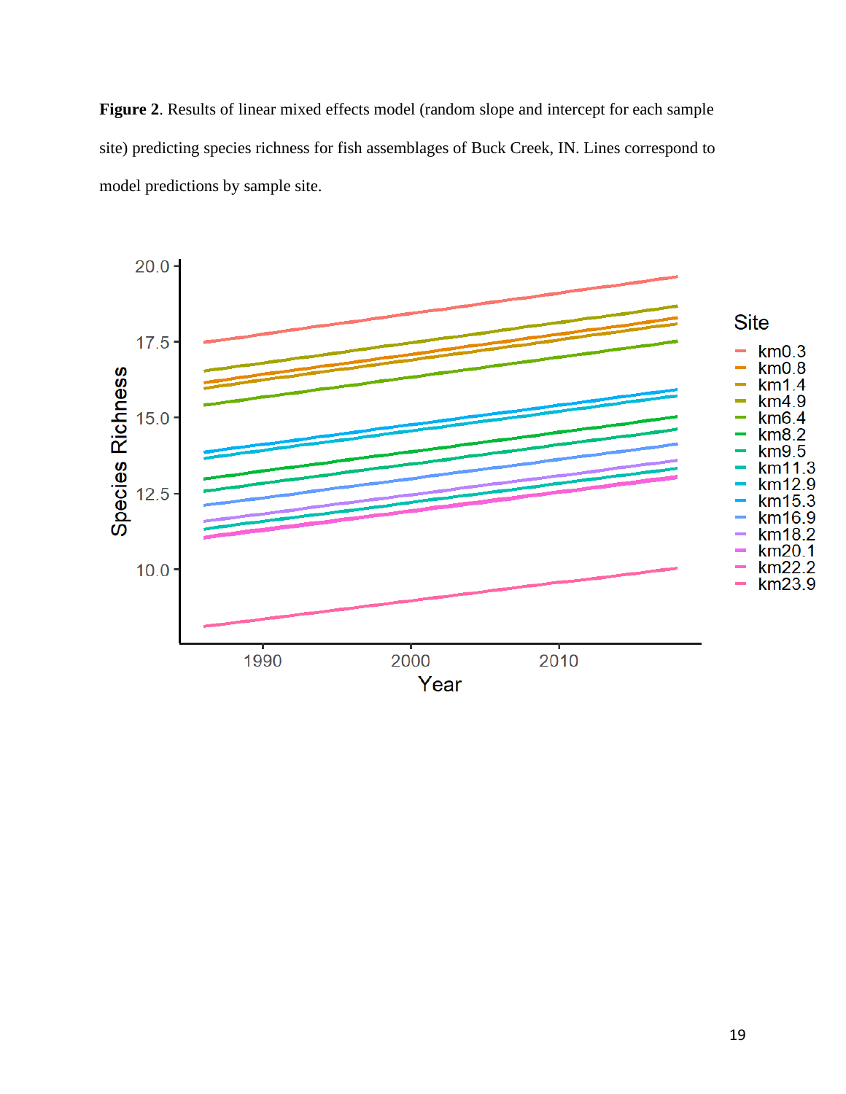**Figure 2**. Results of linear mixed effects model (random slope and intercept for each sample site) predicting species richness for fish assemblages of Buck Creek, IN. Lines correspond to model predictions by sample site.

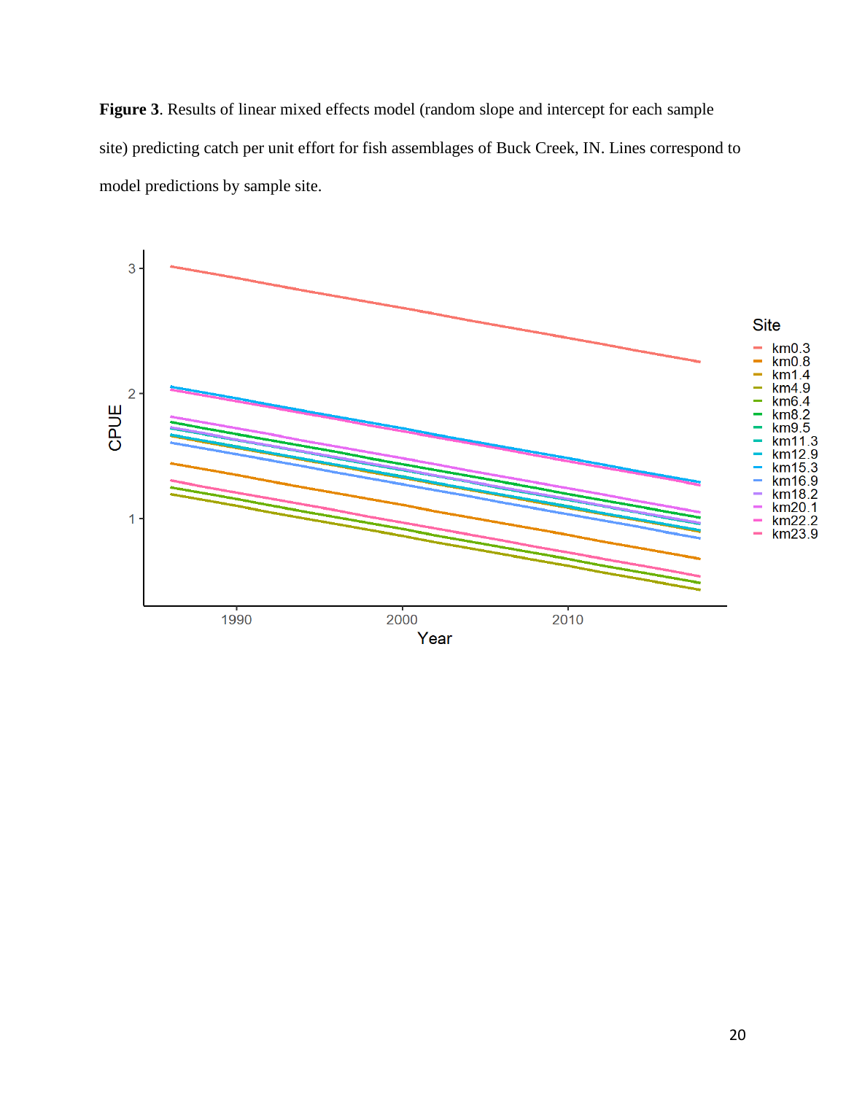**Figure 3**. Results of linear mixed effects model (random slope and intercept for each sample site) predicting catch per unit effort for fish assemblages of Buck Creek, IN. Lines correspond to model predictions by sample site.

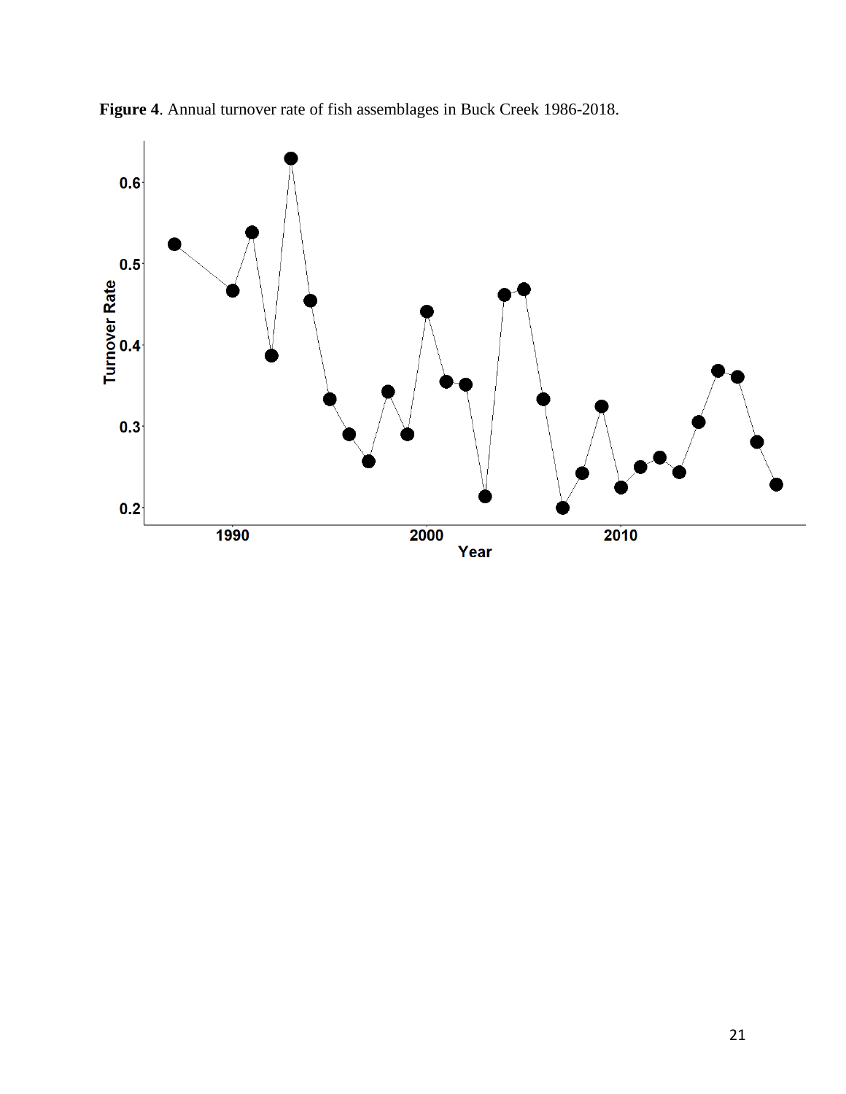

**Figure 4**. Annual turnover rate of fish assemblages in Buck Creek 1986-2018.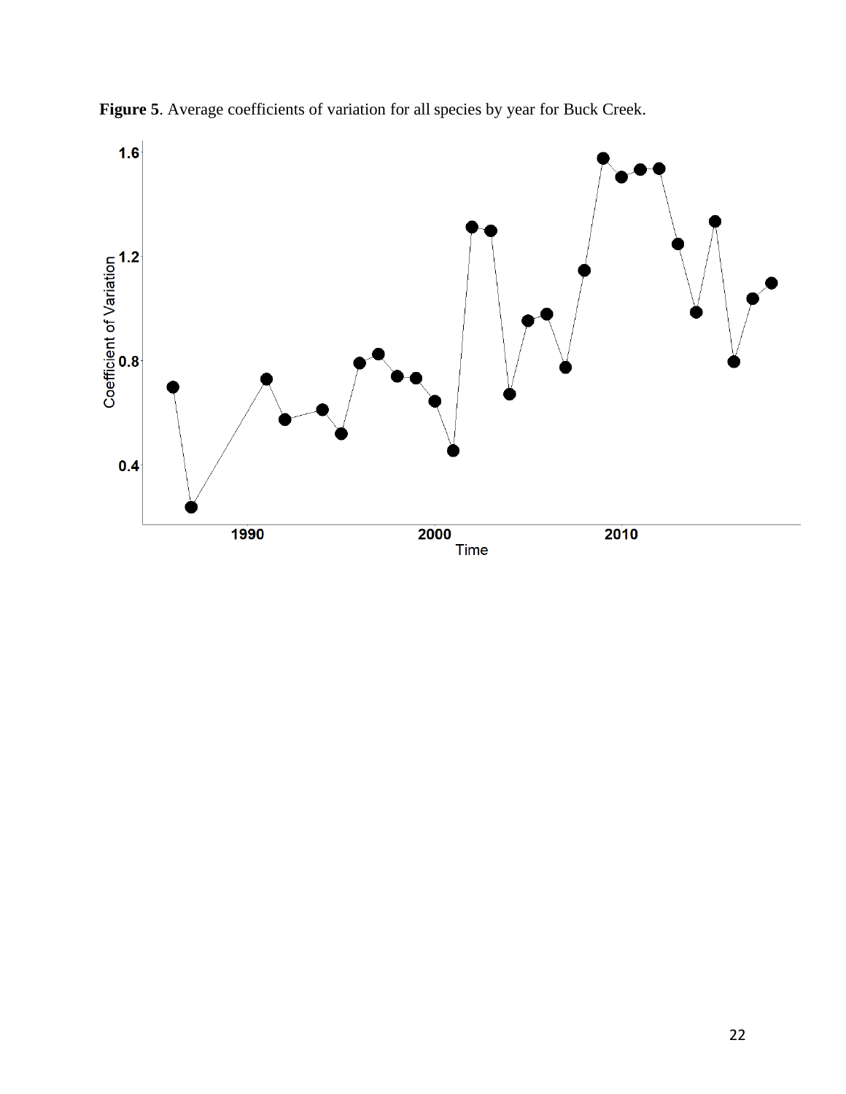

**Figure 5**. Average coefficients of variation for all species by year for Buck Creek.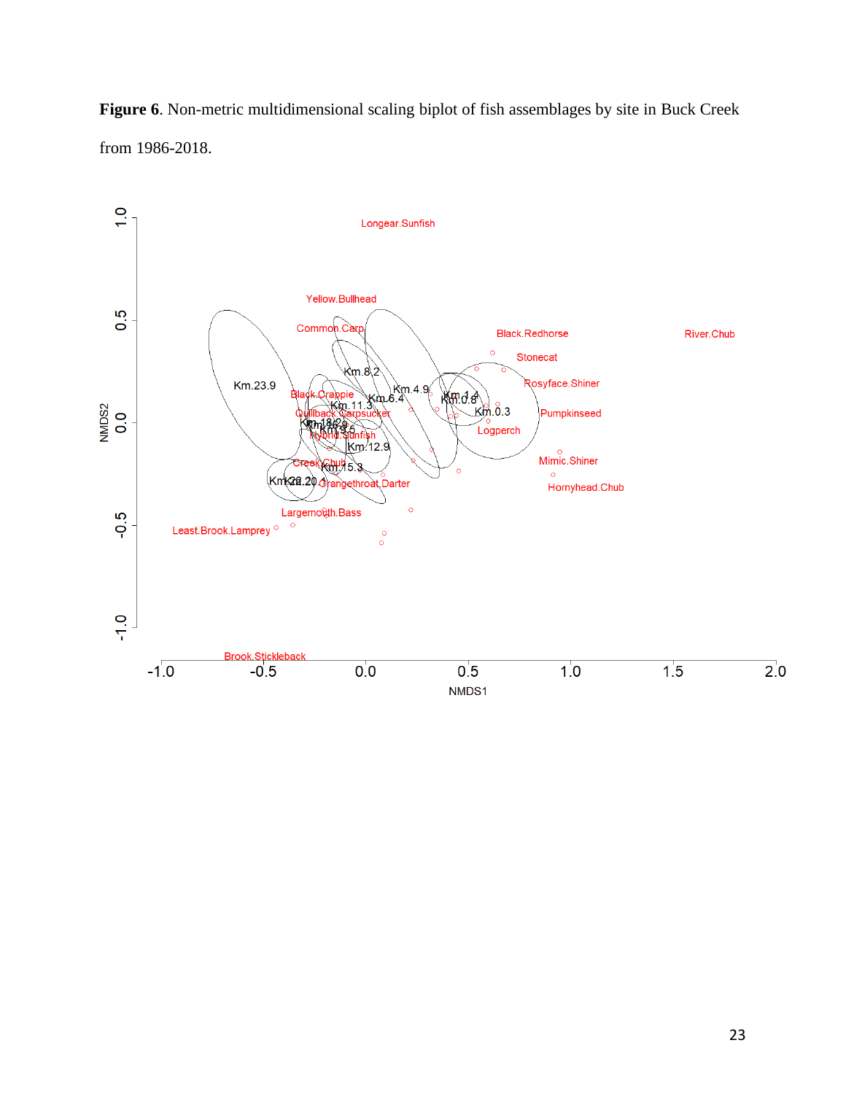

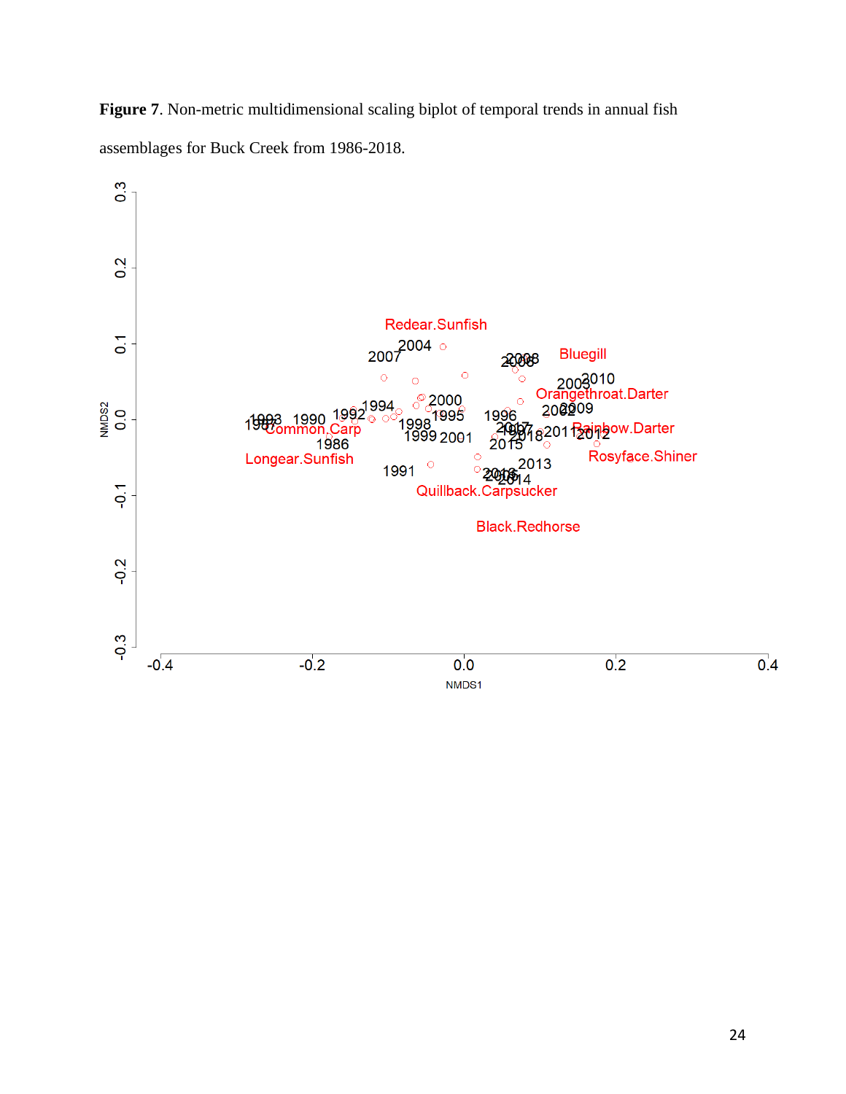**Figure 7**. Non-metric multidimensional scaling biplot of temporal trends in annual fish assemblages for Buck Creek from 1986-2018.

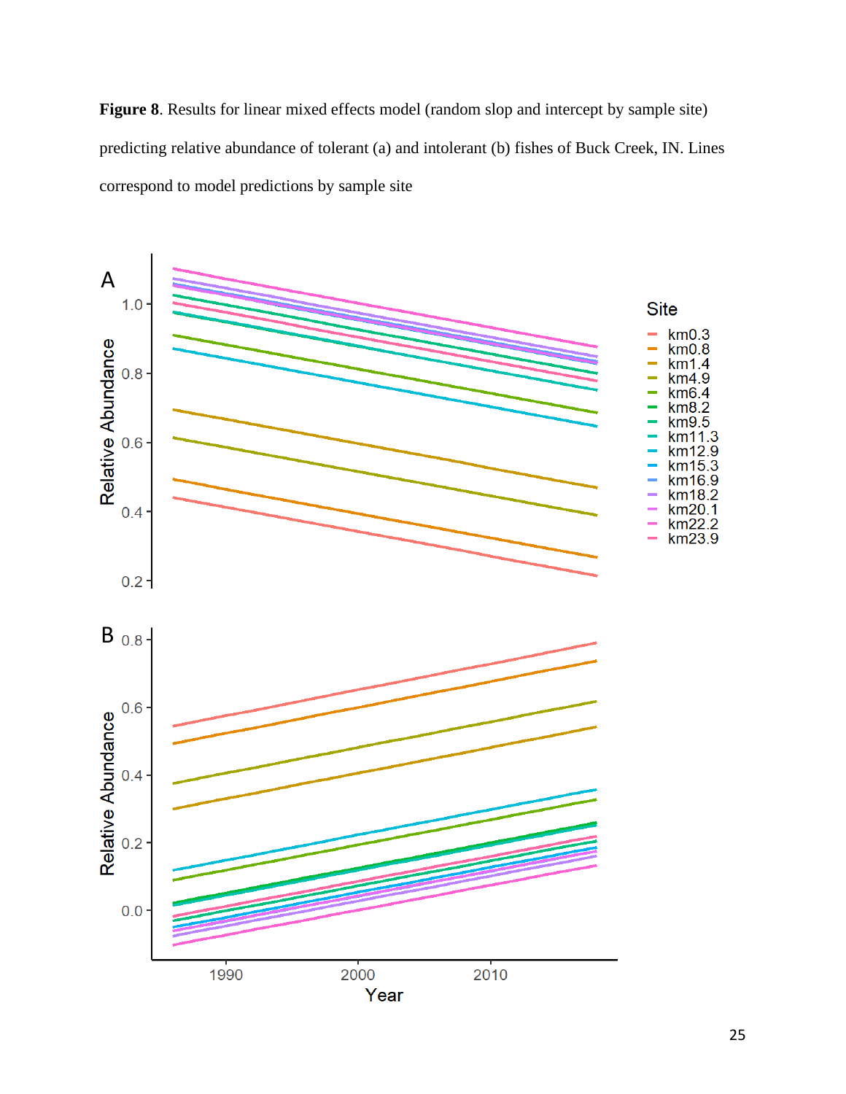Figure 8. Results for linear mixed effects model (random slop and intercept by sample site) predicting relative abundance of tolerant (a) and intolerant (b) fishes of Buck Creek, IN. Lines correspond to model predictions by sample site

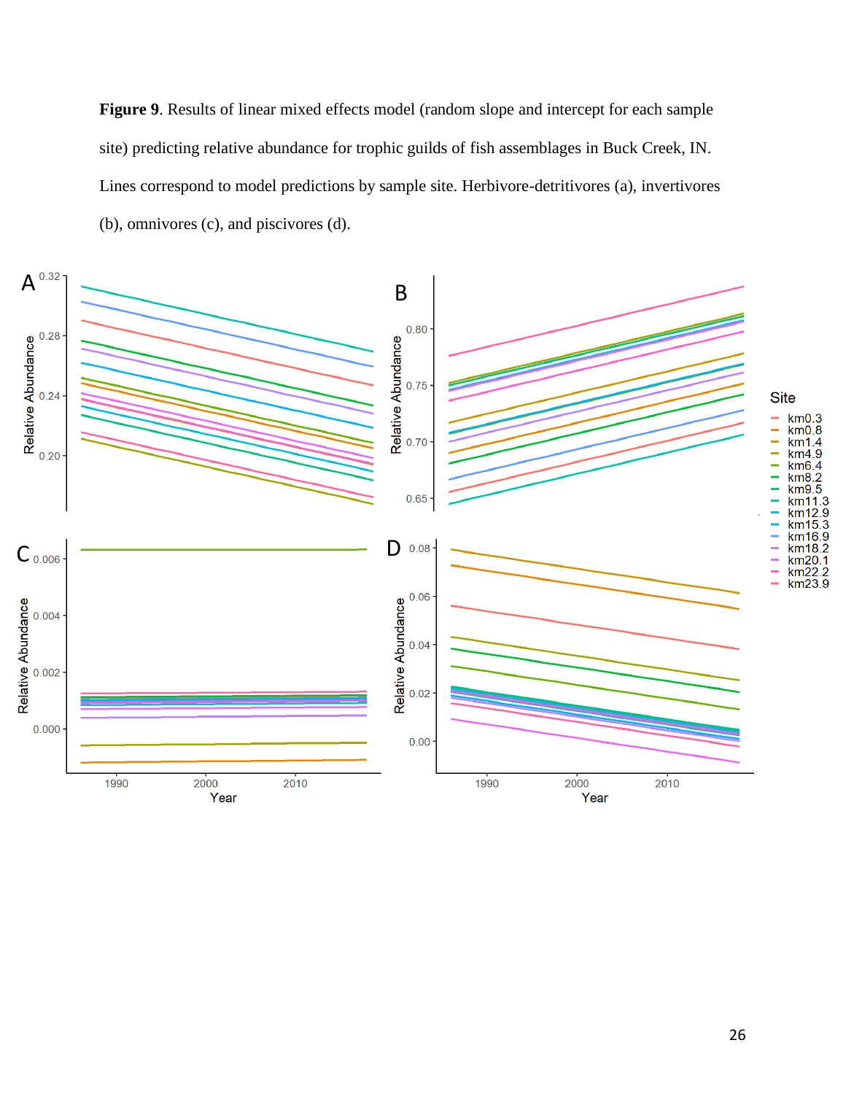**Figure 9**. Results of linear mixed effects model (random slope and intercept for each sample site) predicting relative abundance for trophic guilds of fish assemblages in Buck Creek, IN. Lines correspond to model predictions by sample site. Herbivore-detritivores (a), invertivores (b), omnivores (c), and piscivores (d).

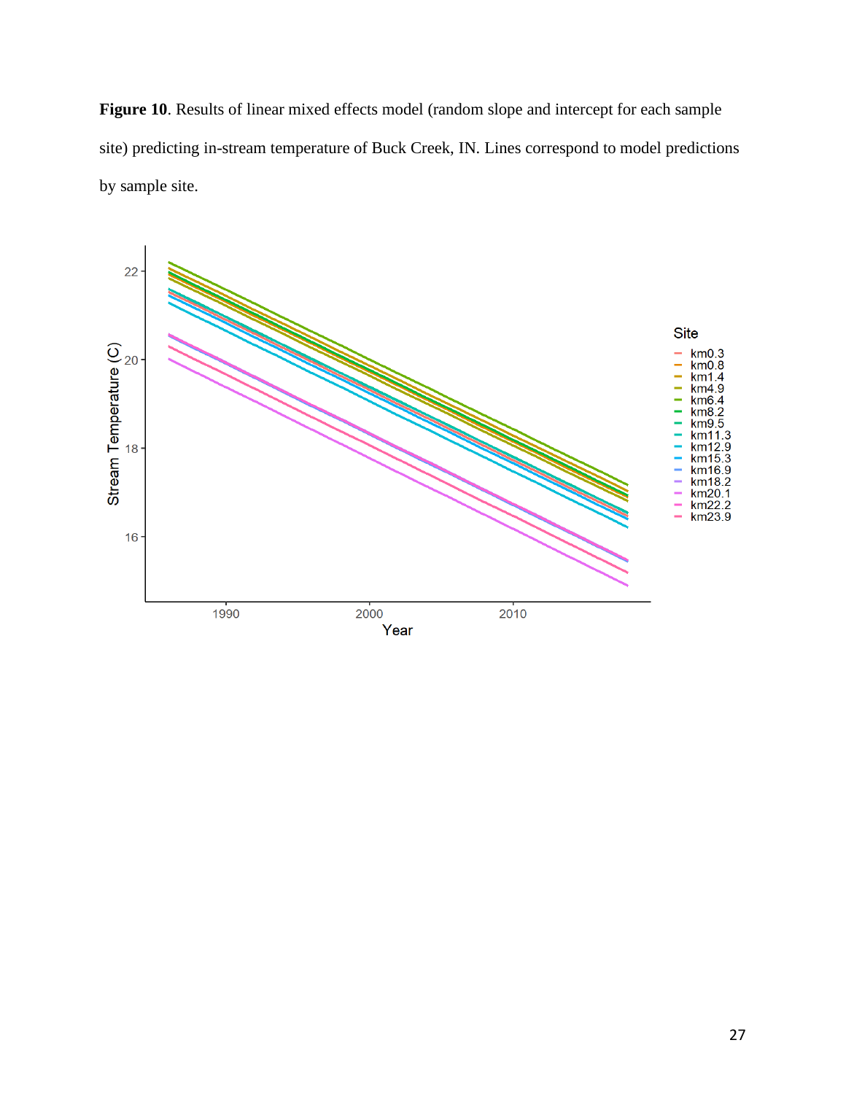Figure 10. Results of linear mixed effects model (random slope and intercept for each sample site) predicting in-stream temperature of Buck Creek, IN. Lines correspond to model predictions by sample site.

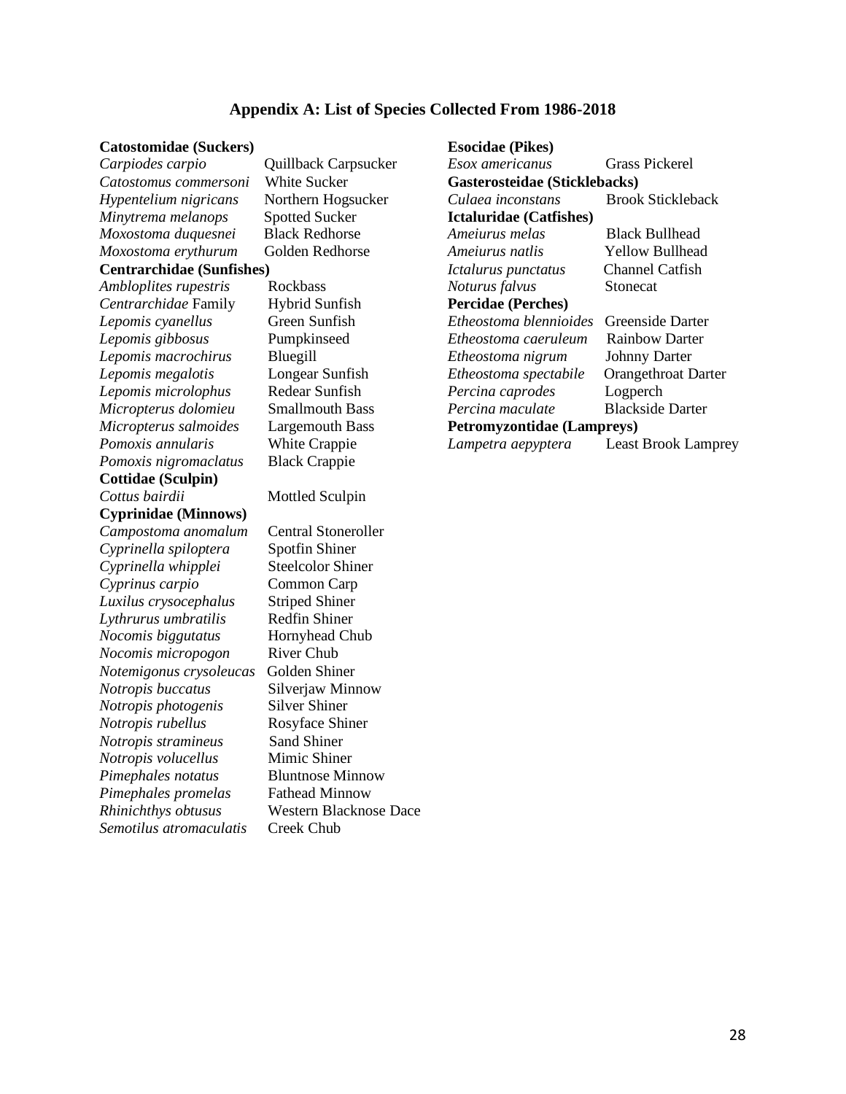#### **Appendix A: List of Species Collected From 1986-2018**

#### **Catostomidae (Suckers) Esocidae (Pikes)**

*Minytrema melanops* Spotted Sucker **Ictaluridae (Catfishes)** *Centrarchidae* Family Hybrid Sunfish **Percidae (Perches)** *Pomoxis nigromaclatus* Black Crappie **Cottidae (Sculpin)** *Cottus bairdii* Mottled Sculpin **Cyprinidae (Minnows)** *Campostoma anomalum* Central Stoneroller *Cyprinella spiloptera* Spotfin Shiner *Cyprinella whipplei* Steelcolor Shiner *Cyprinus carpio* Common Carp *Luxilus crysocephalus* Striped Shiner *Lythrurus umbratilis* Redfin Shiner *Nocomis biggutatus* Hornyhead Chub *Nocomis micropogon* River Chub *Notemigonus crysoleucas* Golden Shiner *Notropis buccatus* Silverjaw Minnow *Notropis photogenis* Silver Shiner *Notropis rubellus* Rosyface Shiner *Notropis stramineus* Sand Shiner *Notropis volucellus* Mimic Shiner *Pimephales notatus* Bluntnose Minnow *Pimephales promelas* Fathead Minnow *Rhinichthys obtusus* Western Blacknose Dace *Semotilus atromaculatis* Creek Chub

# *Carpiodes carpio* Quillback Carpsucker *Esox americanus* Grass Pickerel *Catostomus commersoni* White Sucker **Gasterosteidae (Sticklebacks)** *Hypentelium nigricans* Northern Hogsucker *Culaea inconstans* Brook Stickleback *Moxostoma duquesnei* Black Redhorse *Ameiurus melas* Black Bullhead *Moxostoma erythurum* Golden Redhorse *Ameiurus natlis* Yellow Bullhead **Centrarchidae (Sunfishes)** *Ictalurus punctatus* Channel Catfish *Ambloplites rupestris* Rockbass *Noturus falvus* Stonecat *Lepomis cyanellus* Green Sunfish *Etheostoma blennioides* Greenside Darter *Lepomis gibbosus* Pumpkinseed *Etheostoma caeruleum* Rainbow Darter *Lepomis macrochirus* Bluegill *Etheostoma nigrum* Johnny Darter *Lepomis megalotis* Longear Sunfish *Etheostoma spectabile* Orangethroat Darter *Lepomis microlophus* Redear Sunfish *Percina caprodes* Logperch *Micropterus dolomieu* Smallmouth Bass *Percina maculate* Blackside Darter *Micropterus salmoides* Largemouth Bass **Petromyzontidae (Lampreys)** *Pomoxis annularis* White Crappie *Lampetra aepyptera* Least Brook Lamprey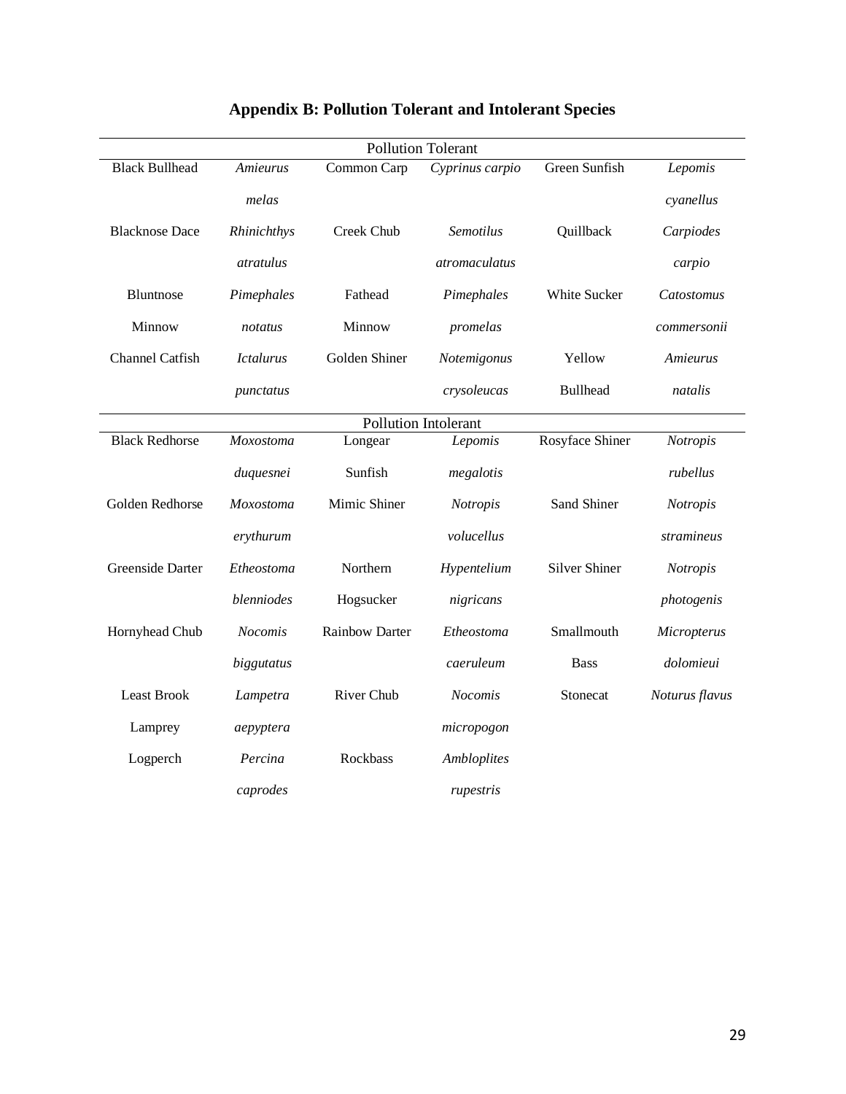| <b>Pollution Tolerant</b>   |                  |                       |                    |                      |                |  |  |  |
|-----------------------------|------------------|-----------------------|--------------------|----------------------|----------------|--|--|--|
| <b>Black Bullhead</b>       | Amieurus         | Common Carp           | Cyprinus carpio    | Green Sunfish        | Lepomis        |  |  |  |
|                             | melas            |                       |                    |                      | cyanellus      |  |  |  |
| <b>Blacknose Dace</b>       | Rhinichthys      | Creek Chub            | <b>Semotilus</b>   | Quillback            | Carpiodes      |  |  |  |
|                             | <i>atratulus</i> |                       | atromaculatus      |                      | carpio         |  |  |  |
| <b>Bluntnose</b>            | Pimephales       | Fathead               | Pimephales         | White Sucker         | Catostomus     |  |  |  |
| Minnow                      | notatus          | Minnow                | promelas           |                      | commersonii    |  |  |  |
| Channel Catfish             | <b>Ictalurus</b> | Golden Shiner         | Notemigonus        | Yellow               | Amieurus       |  |  |  |
|                             | punctatus        |                       | crysoleucas        | <b>Bullhead</b>      | natalis        |  |  |  |
| <b>Pollution Intolerant</b> |                  |                       |                    |                      |                |  |  |  |
| <b>Black Redhorse</b>       | Moxostoma        | Longear               | Lepomis            | Rosyface Shiner      | Notropis       |  |  |  |
|                             | duquesnei        | Sunfish               | megalotis          |                      | rubellus       |  |  |  |
| Golden Redhorse             | <b>Moxostoma</b> | Mimic Shiner          | Notropis           | Sand Shiner          | Notropis       |  |  |  |
|                             | erythurum        |                       | volucellus         |                      | stramineus     |  |  |  |
| Greenside Darter            | Etheostoma       | Northern              | Hypentelium        | <b>Silver Shiner</b> | Notropis       |  |  |  |
|                             | blenniodes       | Hogsucker             | nigricans          |                      | photogenis     |  |  |  |
| Hornyhead Chub              | <b>Nocomis</b>   | <b>Rainbow Darter</b> | Etheostoma         | Smallmouth           | Micropterus    |  |  |  |
|                             | biggutatus       |                       | caeruleum          | <b>Bass</b>          | dolomieui      |  |  |  |
| <b>Least Brook</b>          | Lampetra         | River Chub            | <b>Nocomis</b>     | Stonecat             | Noturus flavus |  |  |  |
| Lamprey                     | aepyptera        |                       | micropogon         |                      |                |  |  |  |
| Logperch                    | Percina          | Rockbass              | <b>Ambloplites</b> |                      |                |  |  |  |
|                             | caprodes         |                       | rupestris          |                      |                |  |  |  |

# **Appendix B: Pollution Tolerant and Intolerant Species**